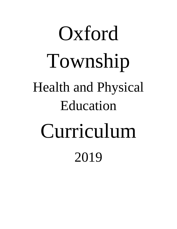# Oxford Township Health and Physical Education Curriculum 2019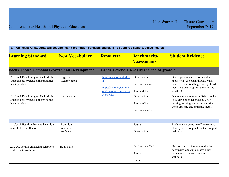| 2.1 Wellness: All students will acquire health promotion concepts and skills to support a healthy, active lifestyle. |                                           |                                                                                    |                                                  |                                                                                                                                                                           |  |
|----------------------------------------------------------------------------------------------------------------------|-------------------------------------------|------------------------------------------------------------------------------------|--------------------------------------------------|---------------------------------------------------------------------------------------------------------------------------------------------------------------------------|--|
| <b>Learning Standard</b>                                                                                             | <b>New Vocabulary</b>                     | <b>Resources</b>                                                                   | <b>Benchmarks/</b><br><b>Assessments</b>         | <b>Student Evidence</b>                                                                                                                                                   |  |
| <b>Focus Topic: Personal Growth and Development</b>                                                                  |                                           |                                                                                    | Grade Levels: PK-2 (By the end of grade 2)       |                                                                                                                                                                           |  |
| 2.1.P.A.1 Developing self-help skills<br>and personal hygiene skills promotes<br>healthy habits.                     | Hygiene<br>Healthy habits                 | http://www.pecentral.or<br>g/<br>https://sharemylesson.c<br>om/lessons/elementary- | Observation<br>Performance task<br>Journal/Chart | Develop an awareness of healthy<br>habits (e.g., use clean tissues, wash<br>hands, handle food hygienically, brush<br>teeth, and dress appropriately for the<br>weather). |  |
| 2.1.P.A.2 Developing self-help skills<br>and personal hygiene skills promotes<br>healthy habits.                     | Independence                              | 3-5/health                                                                         | Observation<br>Journal/Chart<br>Performance Task | Demonstrate emerging self-help skills<br>(e.g., develop independence when<br>pouring, serving, and using utensils<br>when dressing and brushing teeth).                   |  |
|                                                                                                                      |                                           |                                                                                    |                                                  |                                                                                                                                                                           |  |
| 2.1.2.A.1 Health-enhancing behaviors<br>contribute to wellness.                                                      | <b>Behaviors</b><br>Wellness<br>Self-care |                                                                                    | Journal<br>Observation                           | Explain what being "well" means and<br>identify self-care practices that support<br>wellness.                                                                             |  |
| 2.1.2.A.2 Health-enhancing behaviors<br>contribute to wellness.                                                      | Body parts                                |                                                                                    | Performance Task<br>Journal<br>Summative         | Use correct terminology to identify<br>body parts, and explain how body<br>parts work together to support<br>wellness.                                                    |  |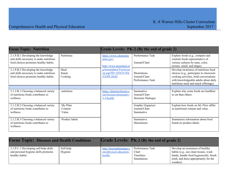| <b>Focus Topic: Nutrition</b>                                                                                          |                              |                                                                                  | Grade Levels: PK-2 (By the end of grade 2)                |                                                                                                                                                                                                             |
|------------------------------------------------------------------------------------------------------------------------|------------------------------|----------------------------------------------------------------------------------|-----------------------------------------------------------|-------------------------------------------------------------------------------------------------------------------------------------------------------------------------------------------------------------|
| 2.1.P.B.1 Developing the knowledge<br>and skills necessary to make nutritious<br>food choices promotes healthy habits. | <b>Nutritious</b>            | https://www.choosemy<br>plate.gov/<br>http://www.pecentral.or                    | Performance Task<br>Journal/Chart                         | Explore foods (e.g., compare and<br>contrast foods representative of<br>various cultures by taste, color,<br>texture, smell, and shape).                                                                    |
| 2.1.P.B.2 Developing the knowledge<br>and skills necessary to make nutritious<br>food choices promotes healthy habits. | Meal<br>Snack<br>Cooking     | g/lessonideas/ViewLess<br>$\underline{\text{on.asp}}?ID=10367\#.Wk$<br>Z2OPCnEdU | <b>Illustrations</b><br>Journal/Chart<br>Performance Task | Develop awareness of nutritious food<br>choices (e.g., participate in classroom<br>cooking activities, hold conversations<br>with knowledgeable adults about daily<br>nutritious meal and snack offerings). |
|                                                                                                                        |                              |                                                                                  |                                                           |                                                                                                                                                                                                             |
| 2.1.2.B.1 Choosing a balanced variety<br>of nutritious foods contributes to<br>wellness.                               | nutritious                   | https://sharemylesson.c<br>om/lessons/elementary-<br>$3-5/h$ ealth               | Summative<br>Journal/Chart<br><b>Structure Dialogue</b>   | Explain why some foods are healthier<br>to eat than others.                                                                                                                                                 |
| 2.1.2.B.2 Choosing a balanced variety<br>of nutritious foods contributes to<br>wellness.                               | My Plate<br>Content<br>Value |                                                                                  | Graphic Organizer<br>Journal/Chart<br>Summative           | Explain how foods on My Plate differ<br>in nutritional content and value.                                                                                                                                   |
| 2.1.2.B.3 Choosing a balanced variety<br>of nutritious foods contributes to<br>wellness.                               | Product labels               |                                                                                  | Summative<br>Illustrations                                | Summarize information about food<br>found on product labels.                                                                                                                                                |

| <b>Focus Topic: Diseases and Health Conditions</b>                                               |                      | <b>Grade Levels: PK-2 (By the end of grade 2)</b>             |                                                              |                                                                                                                                                                           |
|--------------------------------------------------------------------------------------------------|----------------------|---------------------------------------------------------------|--------------------------------------------------------------|---------------------------------------------------------------------------------------------------------------------------------------------------------------------------|
| 2.1.P.C.1 Developing self-help skills<br>and personal hygiene skills promotes<br>healthy habits. | Self-help<br>Hygiene | http://lessonplanspage.c<br>om/physical-education-<br>health/ | Performance Task<br>Chart<br>Timelines<br><b>Simulations</b> | Develop an awareness of healthy<br>habits (e.g., use clean tissues, wash<br>hands, handle food hygienically, brush<br>teeth, and dress appropriately for the<br>weather). |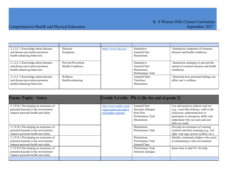| 2.1.2.C.1 Knowledge about diseases<br>and disease prevention promotes<br>health-enhancing behaviors. | <b>Diseases</b><br>Symptoms                    | https://www.cdc.gov/ | Summative<br>Journal/Chart<br><b>Illustrations</b>                     | Summarize symptoms of common<br>diseases and health conditions.                            |
|------------------------------------------------------------------------------------------------------|------------------------------------------------|----------------------|------------------------------------------------------------------------|--------------------------------------------------------------------------------------------|
| 2.1.2.C.2 Knowledge about diseases<br>and disease prevention promotes<br>health-enhancing behaviors. | Prevent/Prevention<br><b>Health Conditions</b> |                      | Summative<br>Journal/Chart<br><b>Illustrations</b><br>Performance Task | Summarize strategies to prevent the<br>spread of common diseases and health<br>conditions. |
| 2.1.2.C.3 Knowledge about diseases<br>and disease prevention promotes<br>health-enhancing behaviors. | <b>Wellness</b><br>Health-enhancing            |                      | Journal/CHart<br>Timelines<br><b>Illustrations</b>                     | Determine how personal feelings can<br>affect one's wellness.                              |

| <b>Focus Topic: Safety</b>                                                                                          |                                                                           | Grade Levels: PK-2 (By the end of grade 2)                                            |                                                                                                                                                                                                              |
|---------------------------------------------------------------------------------------------------------------------|---------------------------------------------------------------------------|---------------------------------------------------------------------------------------|--------------------------------------------------------------------------------------------------------------------------------------------------------------------------------------------------------------|
| 2.1.P.D.1 Developing an awareness of<br>potential hazards in the environment<br>impacts personal health and safety. | http://www.nasbe.org/p<br>roject/center-for-safe-a<br>nd-healthy-schools/ | Journal/Chart<br>Structure dialogue<br>Role Play<br>Performance Task<br>Illustrations | Use safe practices indoors and out<br>(e.g., wear bike helmets, walk in the<br>classroom, understand how to<br>participate in emergency drills, and<br>understand why car seats and seat<br>belts are used). |
| 2.1.P.D.2 Developing an awareness of<br>potential hazards in the environment<br>impacts personal health and safety. |                                                                           | Illustrations<br>Performance Task                                                     | Develop an awareness of warning<br>symbols and their meaning (e.g., red<br>light, stop sign, poison symbol, etc.).                                                                                           |
| 2.1.P.D.3 Developing an awareness of<br>potential hazards in the environment<br>impacts personal health and safety. |                                                                           | <b>Illustrations</b><br>Performance Task<br>Journal/Chart                             | Identify community helpers who assist<br>in maintaining a safe environment.                                                                                                                                  |
| 2.1.P.D.4 Developing an awareness of<br>potential hazards in the environment<br>impacts personal health and safety. |                                                                           | Performance Task<br>Structure dialogue                                                | Know how to dial 911 for help.                                                                                                                                                                               |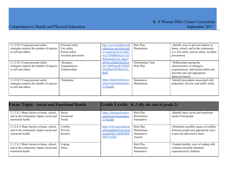| 2.1.2.D.1 Using personal safety<br>strategies reduces the number of injuries<br>to self and others. | Personal safety<br>Fire safety<br>Poison safety     | http://www.healthworld<br>education.org/shop/safe<br>$ty$ -smart?gclid= $C$ jwKC | Role Play<br><b>Illustrations</b> | Identify ways to prevent injuries at<br>home, school, and in the community<br>(i.e. fire safety, poison safety, accident                               |
|-----------------------------------------------------------------------------------------------------|-----------------------------------------------------|----------------------------------------------------------------------------------|-----------------------------------|--------------------------------------------------------------------------------------------------------------------------------------------------------|
|                                                                                                     | Accident prevention                                 | AiA7JfSBRBrEiwA1D<br><b>WSGzrrUCUA DgA7</b>                                      |                                   | prevention).                                                                                                                                           |
| 2.1.2.D.2 Using personal safety<br>strategies reduces the number of injuries<br>to self and others. | Strangers<br>Acquaintances<br><b>Trusted adults</b> | Q9nJe-s8JkRdAgS4oA<br>ksC-0h09qlxaRTNH99<br>5nG8RoCbEMQAvD<br><b>BwE</b>         | Performance Task<br>Role Play     | Differentiate among the<br>characteristics of strangers,<br>acquaintances, and trusted adults and<br>describe safe and appropriate<br>behaviors/touch. |
| 2.1.2.D.3 Using personal safety<br>strategies reduces the number of injuries<br>to self and others. | Pedestrian                                          | https://sharemylesson.c<br>om/lessons/elementary-<br>$3-5/h$ ealth               | Summative<br><b>Illustrations</b> | Identify procedures associated with<br>pedestrian, bicycle, and traffic safety.                                                                        |

| <b>Focus Topic: Social and Emotional Health</b>                                                        |                                | <b>Grade Levels: K-2 (By the end of grade 2)</b>                                      |                                                    |                                                                                                              |
|--------------------------------------------------------------------------------------------------------|--------------------------------|---------------------------------------------------------------------------------------|----------------------------------------------------|--------------------------------------------------------------------------------------------------------------|
| 2.1.2.E.1 Many factors at home, school,<br>and in the community impact social and<br>emotional health. | Social<br>Emotional<br>Needs   | https://sharemylesson.c<br>om/lessons/elementary-<br>$3-5/h$ ealth                    | Role Play<br>Illustrations<br>Summative            | Identify basic social and emotional<br>needs of all people.                                                  |
| 2.1.2.E.2 Many factors at home, school,<br>and in the community impact social and<br>emotional health. | Conflict<br>Prevent<br>Resolve | http://www.pecentral.or<br>g/lessonideas/ViewLess<br>on.asp?ID=11039#.Wk<br>Z05vCnEdU | Role Play<br>Illustrations<br>Summative<br>Journal | Determine possible causes of conflict<br>between people and appropriate ways<br>to prevent and resolve them. |
| 2.1.2.E.3 Many factors at home, school,<br>and in the community impact social and<br>emotional health. | Coping<br><b>Stress</b>        |                                                                                       | Role Play<br>Illustrations<br>Summative            | Explain healthy ways of coping with<br>common stressful situations<br>experienced by children.               |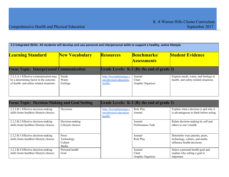| 2.2 Integrated Skills: All students will develop and use personal and interpersonal skills to support a healthy, active lifestyle. |                            |                                                               |                                           |                                                                                 |
|------------------------------------------------------------------------------------------------------------------------------------|----------------------------|---------------------------------------------------------------|-------------------------------------------|---------------------------------------------------------------------------------|
| <b>Learning Standard</b>                                                                                                           | <b>New Vocabulary</b>      | <b>Resources</b>                                              | <b>Benchmarks</b><br><b>Assessments</b>   | <b>Student Evidence</b>                                                         |
| <b>Focus Topic: Interpersonal Communication</b>                                                                                    |                            |                                                               | Grade Levels: K-2 (By the end of grade 2) |                                                                                 |
| 2.2.2.A.1 Effective communication may<br>be a determining factor in the outcome<br>of health- and safety-related situations.       | Needs<br>Wants<br>Feelings | http://lessonplanspage.c<br>om/physical-education-<br>health/ | Journal<br>Chart<br>Graphic Organizer     | Express needs, wants, and feelings in<br>health- and safety-related situations. |

| <b>Focus Topic: Decision-Making and Goal Setting</b>                              |                                         |                                                               | Grade Levels: K-2 (By the end of grade 2) |                                                                                                 |  |
|-----------------------------------------------------------------------------------|-----------------------------------------|---------------------------------------------------------------|-------------------------------------------|-------------------------------------------------------------------------------------------------|--|
| 2.2.2.B.1 Effective decision-making<br>skills foster healthier lifestyle choices. | Decisions                               | http://lessonplanspage.c<br>om/physical-education-<br>health/ | Role Play<br>Journal                      | Explain what a decision is and why it<br>is advantageous to think before acting.                |  |
| 2.2.2.B.2 Effective decision-making<br>skills foster healthier lifestyle choices. | Decision-making<br>Lifestyle choices    |                                                               | Journal<br>Performance Task               | Relate decision-making by self and<br>others to one's health.                                   |  |
| 2.2.2.B.3 Effective decision-making<br>skills foster healthier lifestyle choices. | Peers<br>Technology<br>Culture<br>Media |                                                               | Journal<br>Role Play                      | Determine ways parents, peers,<br>technology, culture, and media<br>influence health decisions. |  |
| 2.2.2.B.4 Effective decision-making<br>skills foster healthier lifestyle choices. | Personal health<br>Goal                 |                                                               | Journal<br>Chart<br>Graphic Organizer     | Select a personal health goal and<br>explain why setting a goal is<br>important.                |  |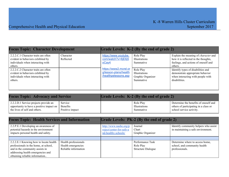| <b>Focus Topic: Character Development</b>                                                                                 |                        |                                                                        | Grade Levels: K-2 (By the end of grade 2)                    |                                                                                                                                        |
|---------------------------------------------------------------------------------------------------------------------------|------------------------|------------------------------------------------------------------------|--------------------------------------------------------------|----------------------------------------------------------------------------------------------------------------------------------------|
| 2.2.2.C.1 Character traits are often<br>evident in behaviors exhibited by<br>individuals when interacting with<br>others. | Character<br>Reflected | https://www.youtube.<br>com/watch?v=8jE6j5<br>oCay4                    | Role Play<br>Illustrations<br>Summative                      | Explain the meaning of <i>character</i> and<br>how it is reflected in the thoughts,<br>feelings, and actions of oneself and<br>others. |
| 2.2.2.C.2 Character traits are often<br>evident in behaviors exhibited by<br>individuals when interacting with<br>others. |                        | https://www2.mcrel.or<br>g/lesson-plans/health<br>/healthpelessons.asp | Role Play<br>Illustrations<br>Graphic Organizer<br>Summative | Identify types of disabilities and<br>demonstrate appropriate behavior<br>when interacting with people with<br>disabilities.           |

| <b>Focus Topic: Advocacy and Service</b> |                 | <b>Grade Levels: K-2 (By the end of grade 2)</b> |               |                                       |
|------------------------------------------|-----------------|--------------------------------------------------|---------------|---------------------------------------|
| 2.2.2.D.1 Service projects provide an    | Service         |                                                  | Role Play     | Determine the benefits of oneself and |
| opportunity to have a positive impact on | Benefits        |                                                  | Illustrations | others of participating in a class or |
| the lives of self and others.            | Positive impact |                                                  | Summative     | school service activity.              |

| <b>Focus Topic: Health Services and Information</b>                                                                                                                                       |                                                                    | Grade Levels: PK-2 (By the end of grade 2)                                |                                                            |                                                                                   |
|-------------------------------------------------------------------------------------------------------------------------------------------------------------------------------------------|--------------------------------------------------------------------|---------------------------------------------------------------------------|------------------------------------------------------------|-----------------------------------------------------------------------------------|
| 2.2.P.E.1 Developing an awareness of<br>potential hazards in the environment<br>impacts personal health and safety.                                                                       |                                                                    | http://www.nasbe.org/p<br>roject/center-for-safe-a<br>nd-healthy-schools/ | Journal<br>Chart<br>Graphic Organizer                      | Identify community helpers who assist<br>in maintaining a safe environment.       |
|                                                                                                                                                                                           |                                                                    |                                                                           |                                                            |                                                                                   |
| 2.2.2.E.1 Knowing how to locate health<br>professionals in the home, at school,<br>and in the community assists in<br>addressing health emergencies and<br>obtaining reliable information | Health professionals<br>Health emergencies<br>Reliable information |                                                                           | Performance Task<br>Role Play<br><b>Structure Dialogue</b> | Determine where to access home,<br>school, and community health<br>professionals. |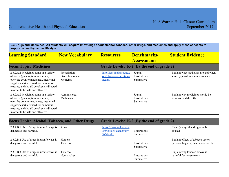2.3 Drugs and Medicines: All students will acquire knowledge about alcohol, tobacco, other drugs, and medicines and apply these concepts to **support a healthy, active lifestyle.**

| <b>Learning Standard</b>                                                                                                                                                                                                                     | <b>New Vocabulary</b>                         | <b>Resources</b>                                              | <b>Benchmarks/</b>                           | <b>Student Evidence</b>                                                  |
|----------------------------------------------------------------------------------------------------------------------------------------------------------------------------------------------------------------------------------------------|-----------------------------------------------|---------------------------------------------------------------|----------------------------------------------|--------------------------------------------------------------------------|
|                                                                                                                                                                                                                                              |                                               |                                                               | <b>Assessments</b>                           |                                                                          |
| <b>Focus Topic: Medicines</b>                                                                                                                                                                                                                |                                               | Grade Levels: K-2 (By the end of grade 2)                     |                                              |                                                                          |
| 2.3.2.A.1 Medicines come in a variety<br>of forms (prescription medicines,<br>over-the-counter medicines, medicinal<br>supplements), are used for numerous<br>reasons, and should be taken as directed<br>in order to be safe and effective. | Prescription<br>Over-the-counter<br>Medicinal | http://lessonplanspage.c<br>om/physical-education-<br>health/ | Journal<br>Illustrations<br>Summative        | Explain what medicines are and when<br>some types of medicines are used. |
| 2.3.2.A.2 Medicines come in a variety<br>of forms (prescription medicines,<br>over-the-counter medicines, medicinal<br>supplements), are used for numerous<br>reasons, and should be taken as directed<br>in order to be safe and effective. | Administered<br>Medicines                     |                                                               | Journal<br><b>Illustrations</b><br>Summative | Explain why medicines should be<br>administered directly.                |

| <b>Focus Topic: Alcohol, Tobacco, and Other Drugs</b>              |            | Grade Levels: K-2 (By the end of grade 2)                          |                                   |                                            |
|--------------------------------------------------------------------|------------|--------------------------------------------------------------------|-----------------------------------|--------------------------------------------|
| 2.3.2.B.1 Use of drugs in unsafe ways is<br>dangerous and harmful. | Abuse      | https://sharemylesson.c<br>om/lessons/elementary-<br>$3-5/h$ ealth | <b>Illustrations</b><br>Summative | Identify ways that drugs can be<br>abused. |
| 2.3.2.B.2 Use of drugs in unsafe ways is                           | Hygiene    |                                                                    | <b>Illustrations</b>              | Explain effects of tobacco use on          |
| dangerous and harmful.                                             | Tobacco    |                                                                    | Summative                         | personal hygiene, health, and safety.      |
| 2.3.2.B.3 Use of drugs in unsafe ways is                           | Tobacco    |                                                                    | <b>Illustrations</b>              | Explain why tobacco smoke is               |
| dangerous and harmful.                                             | Non-smoker |                                                                    | Summative                         | harmful for nonsmokers.                    |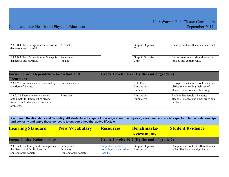| 2.3.2.B.4 Use of drugs in unsafe ways is | Alcohol    | Graphic Organizer | Identify products that contain alcohol. |
|------------------------------------------|------------|-------------------|-----------------------------------------|
| dangerous and harmful.                   |            | Chart             |                                         |
|                                          |            |                   |                                         |
| 2.3.2.B.5 Use of drugs in unsafe ways is | Substances | Graphic Organizer | List substances that should never be    |
| dangerous and harmful.                   | Inhaled    | Chart             | inhaled and explain why.                |
|                                          |            |                   |                                         |

| <b>Focus Topic: Dependency/Addiction and</b>                                                                                 |                 | Grade Levels: K-2 (By the end of grade 2) |                                         |                                                                                                                  |
|------------------------------------------------------------------------------------------------------------------------------|-----------------|-------------------------------------------|-----------------------------------------|------------------------------------------------------------------------------------------------------------------|
| <b>Treatment</b>                                                                                                             |                 |                                           |                                         |                                                                                                                  |
| 2.3.2.C.1 Substance abuse is caused by<br>a variety of factors.                                                              | Substance abuse |                                           | Role Play<br>Illustrations<br>Summative | Recognize that some people may have<br>difficulty controlling their use of<br>alcohol, tobacco, and other drugs. |
| 2.3.2.C.2 There are many ways to<br>obtain help for treatment of alcohol,<br>tobacco, and other substance abuse<br>problems. | Treatment       |                                           | Illustrations<br>Summative              | Explain that people who abuse<br>alcohol, tobacco, and other drugs can<br>get help.                              |

| 2.4 Human Relationships and Sexuality: All students will acquire knowledge about the physical, emotional, and social aspects of human relationships<br>and sexuality and apply these concepts to support a healthy, active lifestyle. |                                                  |                                                               |                                    |                                                                           |  |
|---------------------------------------------------------------------------------------------------------------------------------------------------------------------------------------------------------------------------------------|--------------------------------------------------|---------------------------------------------------------------|------------------------------------|---------------------------------------------------------------------------|--|
| <b>Learning Standard</b>                                                                                                                                                                                                              | <b>New Vocabulary</b>                            | <b>Resources</b>                                              | <b>Benchmarks</b> /                | <b>Student Evidence</b>                                                   |  |
|                                                                                                                                                                                                                                       |                                                  |                                                               | <b>Assessments</b>                 |                                                                           |  |
| <b>Focus Topic: Relationships</b>                                                                                                                                                                                                     |                                                  | Grade Levels: K-2 (By the end of grade 2)                     |                                    |                                                                           |  |
| 2.4.2.A.1 The family unit encompasses<br>the diversity of family forms in<br>contemporary society.                                                                                                                                    | Family unit<br>Diversity<br>Contemporary society | http://lessonplanspage.c<br>om/physical-education-<br>health/ | Graphic Organizer<br>Illustrations | Compare and contrast different kinds<br>of families locally and globally. |  |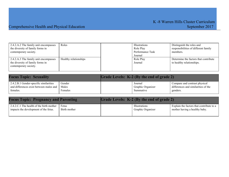| 2.4.2.A.2 The family unit encompasses | Roles                 | <b>Illustrations</b> | Distinguish the roles and             |
|---------------------------------------|-----------------------|----------------------|---------------------------------------|
| the diversity of family forms in      |                       | Role Play            | responsibilities of different family  |
| contemporary society.                 |                       | Performance Task     | members.                              |
|                                       |                       | Journal              |                                       |
| 2.4.2.A.3 The family unit encompasses | Healthy relationships | Role Play            | Determine the factors that contribute |
| the diversity of family forms in      |                       | Journal              | to healthy relationships.             |
| contemporary society.                 |                       |                      |                                       |
|                                       |                       |                      |                                       |

| <b>Focus Topic: Sexuality</b>             |         | <b>Grade Levels: K-2 (By the end of grade 2)</b> |                   |                                     |
|-------------------------------------------|---------|--------------------------------------------------|-------------------|-------------------------------------|
| 2.4.2.B.1 Gender-specific similarities    | Gender  |                                                  | Journal           | Compare and contrast physical       |
| and differences exist between males and 1 | Males   |                                                  | Graphic Organizer | differences and similarities of the |
| females.                                  | Females |                                                  | Summative         | genders.                            |

| <b>Focus Topic: Pregnancy and Parenting</b> |              | <b>Grade Levels: K-2 (By the end of grade 2)</b> |                      |                                          |
|---------------------------------------------|--------------|--------------------------------------------------|----------------------|------------------------------------------|
| 2.4.2.C.1 The health of the birth mother    | Fetus        |                                                  | <i>Illustrations</i> | Explain the factors that contribute to a |
| impacts the development of the fetus.       | Birth mother |                                                  | Graphic Organizer    | mother having a healthy baby.            |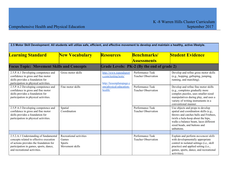| 2.5 Motor Skill Development: All students will utilize safe, efficient, and effective movement to develop and maintain a healthy, active lifestyle.                                                   |                                                                      |                                                                            |                                                |                                                                                                                                                                                                                                                   |
|-------------------------------------------------------------------------------------------------------------------------------------------------------------------------------------------------------|----------------------------------------------------------------------|----------------------------------------------------------------------------|------------------------------------------------|---------------------------------------------------------------------------------------------------------------------------------------------------------------------------------------------------------------------------------------------------|
| <b>Learning Standard</b>                                                                                                                                                                              | <b>New Vocabulary</b>                                                | <b>Resources</b>                                                           | <b>Benchmarks/</b><br><u>Assessments</u>       | <b>Student Evidence</b>                                                                                                                                                                                                                           |
| <b>Focus Topic: Movement Skills and Concepts</b>                                                                                                                                                      |                                                                      |                                                                            | Grade Levels: PK-2 (By the end of grade 2)     |                                                                                                                                                                                                                                                   |
| 2.5.P.A.1 Developing competence and<br>confidence in gross and fine motor<br>skills provides a foundation for<br>participation in physical activities.                                                | Gross motor skills                                                   | http://www.topendsport<br>s.com/testing/tests/<br>http://lessonplanspage.c | Performance Task<br><b>Teacher Observation</b> | Develop and refine gross motor skills<br>(e.g., hopping, galloping, jumping,<br>running, and marching).                                                                                                                                           |
| 2.5.P.A.2 Developing competence and<br>confidence in gross and fine motor<br>skills provides a foundation for<br>participation in physical activities.                                                | Fine motor skills                                                    | om/physical-education-<br>health/                                          | Performance Task<br><b>Teacher Observation</b> | Develop and refine fine motor skills<br>(e.g., completes gradually more<br>complex puzzles, uses smaller-sized<br>manipulatives during play, and uses a<br>variety of writing instruments in a<br>conventional manner.                            |
| 2.5.P.A.3 Developing competence and<br>confidence in gross and fine motor<br>skills provides a foundation for<br>participation in physical activities.                                                | Spatial<br>Coordination                                              |                                                                            | Performance Task<br><b>Teacher Observation</b> | Use objects and props to develop<br>spatial and coordination skills (e.g.,<br>throws and catches balls and Frisbees,<br>twirls a hula-hoop about the hips,<br>walks a balance beam, laces different<br>sized beads, and buttons and<br>unbuttons. |
|                                                                                                                                                                                                       |                                                                      |                                                                            |                                                |                                                                                                                                                                                                                                                   |
| 2.5.2.A.1 Understanding of fundamental<br>concepts related to effective execution<br>of actions provides the foundation for<br>participation in games, sports, dance,<br>and recreational activities. | Recreational activities<br>Games<br><b>Sports</b><br>Movement skills |                                                                            | Performance Task<br><b>Teacher Observation</b> | Explain and perform movement skills<br>with developmentally appropriate<br>control in isolated settings (i.e., skill<br>practice) and applied setting (i.e.,<br>games, sports, dance, and recreational<br>activities)                             |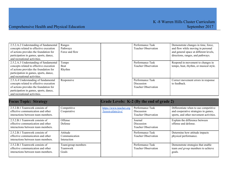| 2.5.2.A.2 Understanding of fundamental<br>concepts related to effective execution<br>of actions provides the foundation for<br>participation in games, sports, dance,<br>and recreational activities. | Ranges<br>Pathways<br>Force and flow | Performance Task<br><b>Teacher Observation</b>                      | Demonstrate changes in time, force,<br>and flow while moving in personal<br>and general space at different levels,<br>directions, ranges, and pathways. |
|-------------------------------------------------------------------------------------------------------------------------------------------------------------------------------------------------------|--------------------------------------|---------------------------------------------------------------------|---------------------------------------------------------------------------------------------------------------------------------------------------------|
| 2.5.2.A.3 Understanding of fundamental<br>concepts related to effective execution<br>of actions provides the foundation for<br>participation in games, sports, dance,<br>and recreational activities. | Tempo<br>Beat<br>Rhythm              | Performance Task<br><b>Teacher Observation</b>                      | Respond in movement to changes in<br>tempo, beat, rhythm, or musical style.                                                                             |
| 2.5.A.4 Understanding of fundamental<br>concepts related to effective execution<br>of actions provides the foundation for<br>participation in games, sports, dance,<br>and recreational activities.   | Responsive                           | Performance Task<br><b>Discussion</b><br><b>Teacher Observation</b> | Correct movement errors in response<br>to feedback.                                                                                                     |

| <b>Focus Topic: Strategy</b>                                                                              |                                                | Grade Levels: K-2 (By the end of grade 2)     |                                                                     |                                                                                                                         |
|-----------------------------------------------------------------------------------------------------------|------------------------------------------------|-----------------------------------------------|---------------------------------------------------------------------|-------------------------------------------------------------------------------------------------------------------------|
| 2.5.2.B.1 Teamwork consists of<br>effective communication and other<br>interactions between team members. | Competitive<br>Cooperative                     | https://www.teacher.org<br>/lesson-plans/p-e/ | Performance Task<br><b>Discussion</b><br><b>Teacher Observation</b> | Differentiate when to use competitive<br>and cooperative strategies in games,<br>sports, and other movement activities. |
| 2.5.2.B.1 Teamwork consists of<br>effective communication and other<br>interactions between team members. | Offense<br>Defense                             |                                               | Journal<br>Discussion<br><b>Teacher Observation</b>                 | Explain the difference between<br>offense and defense.                                                                  |
| 2.5.2.B.1 Teamwork consists of<br>effective communication and other<br>interactions between team members. | Attitude<br>Communication<br>Interaction       |                                               | Performance Task<br><b>Teacher Observation</b>                      | Determine how attitude impacts<br>physical performance.                                                                 |
| 2.5.2.B.1 Teamwork consists of<br>effective communication and other<br>interactions between team members. | Team/group members<br>Teamwork<br><b>Goals</b> |                                               | Performance Task<br><b>Teacher Observation</b>                      | Demonstrate strategies that enable<br>team <i>and group</i> members to achieve<br>goals.                                |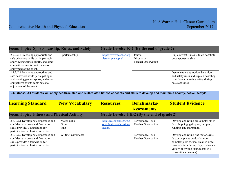2.6.P.A.2 Developing competence and confidence in gross and fine motor skills provides a foundation for participation in physical activities.

Develop and refine fine motor skills (e.g., completes gradually more complex puzzles, uses smaller-sized manipulatives during play, and uses a variety of writing instruments in a

conventional manner).

|                                                                                                                                                                                       | <b>Focus Topic: Sportsmanship, Rules, and Safety</b><br>Grade Levels: K-2 (By the end of grade 2) |                                                               |                                                     |                                                                                                                                       |  |
|---------------------------------------------------------------------------------------------------------------------------------------------------------------------------------------|---------------------------------------------------------------------------------------------------|---------------------------------------------------------------|-----------------------------------------------------|---------------------------------------------------------------------------------------------------------------------------------------|--|
| 2.5.2.C.1 Practicing appropriate and<br>safe behaviors while participating in<br>and viewing games, sports, and other<br>competitive events contributes to<br>enjoyment of the event. | Sportsmanship                                                                                     | https://www.teacher.org<br>$llesson-plans/p-e$                | Journal<br>Discussion<br><b>Teacher Observation</b> | Explain what it means to demonstrate<br>good sportsmanship.                                                                           |  |
| 2.5.2.C.2 Practicing appropriate and<br>safe behaviors while participating in<br>and viewing games, sports, and other<br>competitive events contributes to<br>enjoyment of the event. |                                                                                                   |                                                               |                                                     | Demonstrate appropriate behaviors<br>and safety rules and explain how they<br>contribute to moving safety during<br>basic activities. |  |
|                                                                                                                                                                                       |                                                                                                   |                                                               |                                                     |                                                                                                                                       |  |
| 2.6 Fitness: All students will apply health-related and skill-related fitness concepts and skills to develop and maintain a healthy, active lifestyle.                                |                                                                                                   |                                                               |                                                     |                                                                                                                                       |  |
| <b>Learning Standard</b>                                                                                                                                                              | <b>New Vocabulary</b>                                                                             | <b>Resources</b>                                              | <b>Benchmarks/</b>                                  | <b>Student Evidence</b>                                                                                                               |  |
|                                                                                                                                                                                       |                                                                                                   |                                                               | <b>Assessments</b>                                  |                                                                                                                                       |  |
| <b>Focus Topic: Fitness and Physical Activity</b>                                                                                                                                     |                                                                                                   |                                                               | Grade Levels: PK-2 (By the end of grade 2)          |                                                                                                                                       |  |
| 2.6.P.A.1 Developing competence and<br>confidence in gross and fine motor<br>skills provides a foundation for<br>participation in physical activities.                                | Motor skills<br>Gross<br>Fine                                                                     | http://lessonplanspage.c<br>om/physical-education-<br>health/ | Performance Task<br><b>Teacher Observation</b>      | Develop and refine gross motor skills<br>(e.g., hopping, galloping, jumping,<br>running, and marching).                               |  |

Writing instruments Performance Task

Teacher Observation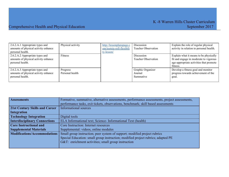| 2.6.2.A.1 Appropriate types and<br>amounts of physical activity enhance<br>personal health. | Physical activity           | http://lessonplanspage.c<br>om/tootsie-roll-flexibili<br>ty-lesson/ | Discussion<br><b>Teacher Observation</b>        | Explain the role of regular physical<br>activity in relation to personal health.                                                        |
|---------------------------------------------------------------------------------------------|-----------------------------|---------------------------------------------------------------------|-------------------------------------------------|-----------------------------------------------------------------------------------------------------------------------------------------|
| 2.6.2.A.2 Appropriate types and<br>amounts of physical activity enhance<br>personal health. | <b>Fitness</b>              |                                                                     | <b>Discussion</b><br><b>Teacher Observation</b> | Explain what it means to be physically<br>fit and engage in moderate to vigorous<br>age-appropriate activities that promote<br>fitness. |
| 2.6.2.A.3 Appropriate types and<br>amounts of physical activity enhance<br>personal health. | Progress<br>Personal health |                                                                     | Graphic Organizer<br>Journal<br>Summative       | Develop a fitness goal and monitor<br>progress towards achievement of the<br>goal.                                                      |

| <b>Assessments</b>                    | Formative, summative, alternative assessments, performance assessments, project assessments, |  |  |  |  |
|---------------------------------------|----------------------------------------------------------------------------------------------|--|--|--|--|
|                                       | performance tasks, exit tickets, observations, benchmark; skill based assessments            |  |  |  |  |
| <b>21st Century Skills and Career</b> | <b>Informational sources</b>                                                                 |  |  |  |  |
| Integration                           |                                                                                              |  |  |  |  |
| <b>Technology Integration</b>         | Digital tools                                                                                |  |  |  |  |
| <b>Interdisciplinary Connections</b>  | ELA Informational text; Science- Informational Text (health)                                 |  |  |  |  |
| <b>Core Instructional and</b>         | Core Instruction: Internet resources                                                         |  |  |  |  |
| <b>Supplemental Materials</b>         | Supplemental: videos, online modules                                                         |  |  |  |  |
| <b>Modifications/Accommodations</b>   | Small group instruction; peer system of support; modified project rubrics                    |  |  |  |  |
|                                       | Special Education: small group instruction; modified project rubrics; adapted PE             |  |  |  |  |
|                                       | G&T: enrichment activities; small group instruction                                          |  |  |  |  |
|                                       |                                                                                              |  |  |  |  |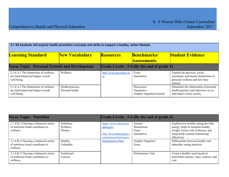| 2.1 All students will acquire health promotion concepts and skills to support a healthy, active lifestyle. |                                     |                                          |                                                      |                                                                                                                     |
|------------------------------------------------------------------------------------------------------------|-------------------------------------|------------------------------------------|------------------------------------------------------|---------------------------------------------------------------------------------------------------------------------|
| <b>Learning Standard</b>                                                                                   | <b>New Vocabulary</b>               | <b>Resources</b>                         | <b>Benchmarks</b> /                                  | <b>Student Evidence</b>                                                                                             |
|                                                                                                            |                                     |                                          | <b>Assessments</b>                                   |                                                                                                                     |
| <b>Focus Topic: Personal Growth and Development</b>                                                        |                                     |                                          | Grade Levels: 3-4 (By the end of grade 4)            |                                                                                                                     |
| 2.1.4.A.1 The dimensions of wellness<br>are interrelated and impact overall<br>well-being.                 | Wellness                            | http://www.pecentral.or<br>$\mathbf{g}/$ | Essay<br>Summative                                   | Explain the physical, social,<br>emotional, and mental dimensions of<br>personal wellness and how they<br>interact. |
| 2.1.4.A.2 The dimensions of wellness<br>are interrelated and impact overall<br>well-being.                 | Health practices<br>Personal health |                                          | Discussion<br>Summative<br>Graphic Organizer/Journal | Determine the relationship of personal<br>health practices and behaviors on an<br>individual's body system.         |

| <b>Focus Topic: Nutrition</b>                                                            |                                          |                                                                                         | Grade Levels: 3-4 (By the end of grade 4)             |                                                                                                                                                                   |
|------------------------------------------------------------------------------------------|------------------------------------------|-----------------------------------------------------------------------------------------|-------------------------------------------------------|-------------------------------------------------------------------------------------------------------------------------------------------------------------------|
| 2.1.4.B.1 Choosing a balanced variety<br>of nutritious foods contributes to<br>wellness. | <b>Nutritious</b><br>Wellness<br>Disease | https://www.choosemy<br>plate.gov/<br>http://lessonplanspage.c<br>om/pemusicfruitvegeta | Journal<br><b>Illustrations</b><br>Essay<br>Summative | Explain how healthy eating provides<br>energy, helps to maintain healthy<br>weight, lowers risk of disease, and<br>keeps body systems functioning<br>effectively. |
| 2.1.4.B.2 Choosing a balanced variety<br>of nutritious foods contributes to<br>wellness. | Healthy<br>Unhealthy                     | blesongonly3-htm/                                                                       | Graphic Organizer<br>Essay                            | Differentiate between healthy and<br>unhealthy eating practices.                                                                                                  |
| 2.1.4.B.3 Choosing a balanced variety<br>of nutritious foods contributes to<br>wellness. | Nutritional<br>Calories                  |                                                                                         | Performance Task                                      | Create a healthy meal based on<br>nutritional content, value, calories, and<br>cost.                                                                              |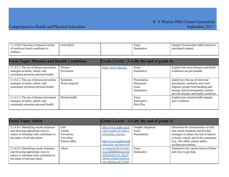| 2.1.4.B.4 Choosing a balanced variety | Food labels | Essay     | Interpret food product labels based on |
|---------------------------------------|-------------|-----------|----------------------------------------|
| of nutritious foods contributes to    |             | Summative | nutritional content.                   |
| wellness.                             |             |           |                                        |
|                                       |             |           |                                        |

| <b>Focus Topic: Diseases and Health Conditions</b>                                                                |                              |                      | Grade Levels: 3-4 (By the end of grade 4)               |                                                                                                                                                                                               |
|-------------------------------------------------------------------------------------------------------------------|------------------------------|----------------------|---------------------------------------------------------|-----------------------------------------------------------------------------------------------------------------------------------------------------------------------------------------------|
| 2.1.4.C.1 The use of disease prevention<br>strategies in home, school, and<br>community promotes personal health. | Disease<br>Prevention        | https://www.cdc.gov/ | Essay<br>Summative                                      | Explain how most diseases and health<br>conditions are preventable.                                                                                                                           |
| 2.1.4.C.2 The use of disease prevention<br>strategies in home, school, and<br>community promotes personal health. | Sanitation<br>Waste disposal |                      | Presentation<br><b>Discussion</b><br>Essay<br>Summative | Justify how the use of universal<br>precautions, sanitation and waste<br>disposal, proper food handling and<br>storage, and environmental controls<br>prevent diseases and health conditions. |
| 2.1.4.C.3 The use of disease prevention<br>strategies in home, school, and<br>community promotes personal health. | Mental health                |                      | Essay<br>Summative<br>Role Play                         | Explain how mental health impacts<br>one's wellness.                                                                                                                                          |

| <b>Focus Topic: Safety</b>               |               | Grade Levels: 3-4 (By the end of grade 4) |                   |                                           |
|------------------------------------------|---------------|-------------------------------------------|-------------------|-------------------------------------------|
| 2.1.4.D.1 Identifying unsafe situations  | Safe          | http://www.nasbe.org/p                    | Graphic Organizer | Determine the characteristics of safe     |
| and choosing appropriate ways to         | Unsafe        | roject/center-for-safe-a                  | Essay             | and unsafe situations and develop         |
| reduce or eliminate risks contributes to | Prevention    | nd-healthy-schools/                       | Presentation      | strategies to reduce the risk of injuries |
| the safety of self and others.           | Fire safety   |                                           |                   | at home, school, and in the community     |
|                                          | Poison safety | http://www.healthworld                    |                   | (e.g., fire safety, poison safety,        |
|                                          |               | education.org/shop/safe                   |                   | accident prevention).                     |
| 2.1.4.D.2 Identifying unsafe situations  | Abuse         | ty-smart?gclid=CjwKC                      | Essay             | Summarize the various forms of abuse      |
| and choosing appropriate ways to         |               | AiA7JfSBRBrEiwA1D                         | Summative         | and ways to get help.                     |
| reduce or eliminate risks contributes to |               | WSGzrrUCUA DgA7                           |                   |                                           |
| the safety of self and others.           |               | Q9nJe-s8JkRdAgS4oA                        |                   |                                           |
|                                          |               | ksC-0h09qlxaRTNH99                        |                   |                                           |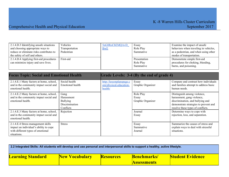| 2.1.4.D.3 Identifying unsafe situations  | Vehicles       | 5nG8RoCbEMQAvD | Essay        | Examine the impact of unsafe          |
|------------------------------------------|----------------|----------------|--------------|---------------------------------------|
| and choosing appropriate ways to         | Transportation | <b>BwE</b>     | Role Play    | behaviors when traveling in vehicles, |
| reduce or eliminate risks contributes to | Pedestrian     |                | Summative    | as a pedestrian, and when using other |
| the safety of self and others.           |                |                |              | modes of transportation.              |
| 2.1.4.D.4 Applying first-aid procedures  | First-aid      |                | Presentation | Demonstrate simple first-aid          |
| can minimize injury and save lives.      |                |                | Role Play    | procedures for choking, bleeding,     |
|                                          |                |                | Summative    | burns, and poisoning.                 |

| <b>Focus Topic: Social and Emotional Health</b>                                                                                  |                                                                             |                                                               | Grade Levels: 3-4 (By the end of grade 4) |                                                                                                                                                                             |
|----------------------------------------------------------------------------------------------------------------------------------|-----------------------------------------------------------------------------|---------------------------------------------------------------|-------------------------------------------|-----------------------------------------------------------------------------------------------------------------------------------------------------------------------------|
| 2.1.4.E.1 Many factors at home, school,<br>and in the community impact social and<br>emotional health.                           | Social health<br>Emotional health                                           | http://lessonplanspage.c<br>om/physical-education-<br>health/ | Essay<br>Graphic Organizer                | Compare and contrast how individuals<br>and families attempt to address basic<br>human needs.                                                                               |
| 2.1.4.E.2 Many factors at home, school,<br>and in the community impact social and<br>emotional health.                           | Gang<br>Harassment<br><b>Bullying</b><br><b>Discrimination</b><br>Conflicts |                                                               | Role Play<br>Essay<br>Graphic Organizer   | Distinguish among violence,<br>harassment, gang violence,<br>discrimination, and bullying and<br>demonstrate strategies to prevent and<br>resolve these types of conflicts. |
| 2.1.4.E.3 Many factors at home, school,<br>and in the community impact social and<br>emotional health.                           | Rejection                                                                   |                                                               | Journal<br>Essay                          | Determine ways to cope with<br>rejection, loss, and separation.                                                                                                             |
| 2.1.4.E.4 Stress management skills<br>impact an individual's ability to cope<br>with different types of emotional<br>situations. | <b>Stress</b>                                                               |                                                               | Essay<br>Summative<br>Journal             | Summarize the causes of stress and<br>explain ways to deal with stressful<br>situations.                                                                                    |

| 2.2 Integrated Skills: All students will develop and use personal and interpersonal skills to support a healthy, active lifestyle. |                       |                  |                                         |                         |
|------------------------------------------------------------------------------------------------------------------------------------|-----------------------|------------------|-----------------------------------------|-------------------------|
| <b>Learning Standard</b>                                                                                                           | <b>New Vocabulary</b> | <b>Resources</b> | <b>Benchmarks</b><br><b>Assessments</b> | <b>Student Evidence</b> |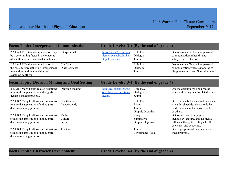| <b>Focus Topic: Interpersonal Communication</b>                                                                                                 |                            | Grade Levels: 3-4 (By the end of grade 4)                              |                                           |                                                                                                                    |
|-------------------------------------------------------------------------------------------------------------------------------------------------|----------------------------|------------------------------------------------------------------------|-------------------------------------------|--------------------------------------------------------------------------------------------------------------------|
| 2.2.4.A.1 Effective communication may<br>be a determining factor in the outcome<br>of health- and safety-related situations.                    | Interpersonal              | https://www2.mcrel.org<br>/lesson-plans/health/hea<br>lthpelessons.asp | Role Play<br>Dialogue<br>Journal          | Demonstrate effective interpersonal<br>communication in health- and<br>safety-related situations.                  |
| 2.2.4.A.2 Effective communication is<br>the basis for strengthening interpersonal<br>interactions and relationships and<br>resolving conflicts. | Conflicts<br>Disagreements |                                                                        | Role Play<br>Dialogue<br>Journal          | Demonstrate effective interpersonal<br>communication when responding to<br>disagreements or conflicts with others. |
|                                                                                                                                                 |                            |                                                                        |                                           |                                                                                                                    |
| <b>Focus Topic: Decision Making and Goal Setting</b>                                                                                            |                            |                                                                        | Grade Levels: 3-4 (By the end of grade 4) |                                                                                                                    |

| т осиз торіс. Вссіявні війніне ани Овагосійне |                 |                          | $\mathbf{U}$ and $\mathbf{U}$ and $\mathbf{U}$ and $\mathbf{V}$ and $\mathbf{U}$ and $\mathbf{U}$ |                                        |
|-----------------------------------------------|-----------------|--------------------------|---------------------------------------------------------------------------------------------------|----------------------------------------|
| 2.2.4.B.1 Many health-related situations      | Decision-making | http://lessonplanspage.c | Role Play                                                                                         | Use the decision-making process        |
| require the application of a thoughtful       |                 | om/physical-education-   | Dialogue                                                                                          | when addressing health-related issues. |
| decision-making process.                      |                 | health/                  | Journal                                                                                           |                                        |
| 2.2.4.B.2 Many health-related situations      | Health-related  |                          | Role Play                                                                                         | Differentiate between situations when  |
| require the application of a thoughtful       | Independently   |                          | Essay                                                                                             | a health-related decision should be    |
| decision-making process.                      |                 |                          | Journal                                                                                           | made independently or with the help    |
|                                               |                 |                          | Graphic Organizer                                                                                 | of others.                             |
| 2.2.4.B.3 Many health-related situations      | Media           |                          | Essay                                                                                             | Determine how family, peers,           |
| require the application of a thoughtful       | Culture         |                          | Summative                                                                                         | technology, culture, and the media     |
| decision-making process.                      | Peers           |                          | Graphic Organizer                                                                                 | influence thoughts, feelings, health   |
|                                               |                 |                          |                                                                                                   | decisions, and behaviors.              |
| 2.2.4.B.4 Many health-related situations      | Tracking        |                          | Journal                                                                                           | Develop a personal health goal and     |
| require the application of a thoughtful       |                 |                          | Performance Task                                                                                  | track progress.                        |
| decision-making process.                      |                 |                          |                                                                                                   |                                        |

|  | <b>Focus Topic: Character Development</b> |  |
|--|-------------------------------------------|--|
|  |                                           |  |

**Grade Levels:**  $3-4$  (By the end of grade 4)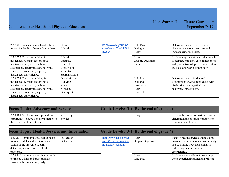| 2.2.4.C.1 Personal core ethical values   | Character       | https://www.youtube. | Role Play         | Determine how an individual's          |
|------------------------------------------|-----------------|----------------------|-------------------|----------------------------------------|
| impact the health of oneself and others. | Ethical         | com/watch?v=8jE6j5   | Dialogue          | character develops over time and       |
|                                          |                 | oCay4                | Essay             | impacts personal health.               |
| 2.2.4.C.2 Character building is          | Ethical         |                      | Essay             | Explain why core ethical values (such  |
| influenced by many factors both          | Empathy         |                      | Graphic Organizer | as respect, empathy, civic mindedness, |
| positive and negative, such as           | Respect         |                      | Summative         | and good citizenship) are important in |
| acceptance, discrimination, bullying,    | Citizenship     |                      |                   | the local and world community.         |
| abuse, sportsmanship, support,           | Acceptance      |                      |                   |                                        |
| disrespect, and violence.                | Sportsmanship   |                      |                   |                                        |
| 2.2.4.C.3 Character building is          | Discrimination  |                      | Role Play         | Determine how attitudes and            |
| influenced by many factors both          | <b>Bullying</b> |                      | Dialogue          | assumptions toward individuals with    |
| positive and negative, such as           | Abuse           |                      | Illustrations     | disabilities may negatively or         |
| acceptance, discrimination, bullying,    | Violence        |                      | Essay             | positively impact them.                |
| abuse, sportsmanship, support,           | Disrespect      |                      | Research          |                                        |
| disrespect, and violence.                |                 |                      |                   |                                        |

| <b>Focus Topic: Advocacy and Service</b>                                                                                   |          | Grade Levels: 3-4 (By the end of grade 4) |       |                                                                                                         |
|----------------------------------------------------------------------------------------------------------------------------|----------|-------------------------------------------|-------|---------------------------------------------------------------------------------------------------------|
| 2.2.4.D.1 Service projects provide an<br>opportunity to have a positive impact on Service<br>the lives of self and others. | Advocacy |                                           | Essay | Explain the impact of participation in<br>different kinds of service projects on<br>community wellness. |

| <b>Focus Topic: Health Services and Information</b>                                                                                                                |                         | Grade Levels: 3-4 (By the end of grade 4)                                 |                            |                                                                                                                                                                    |
|--------------------------------------------------------------------------------------------------------------------------------------------------------------------|-------------------------|---------------------------------------------------------------------------|----------------------------|--------------------------------------------------------------------------------------------------------------------------------------------------------------------|
| 2.2.4.E.1 Communicating health needs<br>to trusted adults and professionals<br>assists in the prevention, early<br>detection, and treatment of health<br>problems. | Prevention<br>Detection | http://www.nasbe.org/p<br>roject/center-for-safe-a<br>nd-healthy-schools/ | Essay<br>Graphic Organizer | Identify health services and resources<br>provided in the school and community<br>and determine how each assists in<br>addressing health needs and<br>emergencies. |
| 2.2.4.E.2 Communicating health needs<br>to trusted adults and professionals<br>assists in the prevention, early                                                    |                         |                                                                           | Essay<br>Role Play         | Explain when and how to seek help<br>when experiencing a health problem.                                                                                           |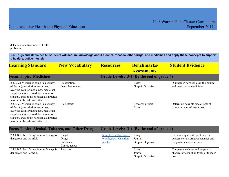| detection.<br>† health<br>and<br>treatment of |  |  |
|-----------------------------------------------|--|--|
| problems                                      |  |  |

2.3 Drugs and Medicine: All students will acquire knowledge about alcohol, tobacco, other drugs, and medicines and apply these concepts to support **a healthy, active lifestyle.**

| <b>Learning Standard</b>                                                                                                                                                                                                                     | <b>New Vocabulary</b>            | <b>Resources</b> | <b>Benchmarks/</b>                        | <b>Student Evidence</b>                                             |
|----------------------------------------------------------------------------------------------------------------------------------------------------------------------------------------------------------------------------------------------|----------------------------------|------------------|-------------------------------------------|---------------------------------------------------------------------|
|                                                                                                                                                                                                                                              |                                  |                  | <b>Assessments</b>                        |                                                                     |
| <b>Focus Topic: Medicines</b>                                                                                                                                                                                                                |                                  |                  | Grade Levels: 3-4 (By the end of grade 4) |                                                                     |
| 2.3.4.A.1 Medicines come in a variety<br>of forms (prescription medicines,<br>over-the-counter medicines, medicinal<br>supplements), are used for numerous<br>reasons, and should be taken as directed<br>in order to be safe and effective. | Prescription<br>Over-the-counter |                  | Essay<br>Graphic Organizer                | Distinguish between over-the-counter<br>and prescription medicines. |
| 2.3.4.A.2 Medicines come in a variety<br>of forms (prescription medicines,<br>over-the-counter medicines, medicinal<br>supplements), are used for numerous<br>reasons, and should be taken as directed<br>in order to be safe and effective. | Side effects                     |                  | Research project<br>Essay                 | Determine possible side effects of<br>common types of medicines.    |

| <b>Focus Topic: Alcohol, Tobacco, and Other Drugs</b>                |                                                              |                                                               | Grade Levels: 3-4 (By the end of grade 4) |                                                                                                           |
|----------------------------------------------------------------------|--------------------------------------------------------------|---------------------------------------------------------------|-------------------------------------------|-----------------------------------------------------------------------------------------------------------|
| 2.3.4.B.1 Use of drugs in unsafe ways is<br>dangerous and harmful.   | <b>Illegal</b><br>Drugs<br><b>Substances</b><br>Consequences | http://lessonplanspage.c<br>om/physical-education-<br>health/ | Essay<br>Journal<br>Graphic Organizer     | Explain why it is illegal to use or<br>possess certain drugs/substances and<br>the possible consequences. |
| 2.3.4.B.2 Use of drugs in unsafe ways is  <br>dangerous and harmful. | Tobacco                                                      |                                                               | Essay<br>Journal<br>Graphic Organizer     | Compare the short- and long-term<br>physical effects of all types of tobacco<br>use.                      |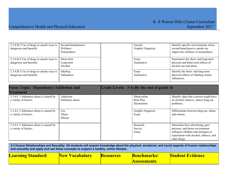### Comprehensive Health and Physical Education September 2017

| 2.3.4.B.3 Use of drugs in unsafe ways is<br>dangerous and harmful. | Second-hand/passive<br>Wellness<br><b>Nonsmokers</b> | Journal<br>Graphic Organizer | Identify specific environments where<br>second-hand/passive smoke my<br>impact the wellness of nonsmokers. |
|--------------------------------------------------------------------|------------------------------------------------------|------------------------------|------------------------------------------------------------------------------------------------------------|
| 2.3.4.B.4 Use of drugs in unsafe ways is<br>dangerous and harmful. | Short-term<br>Long-term<br>Alcohol                   | Essay<br>Summative           | Summarize the short- and long-term<br>physical and behavioral effects of<br>alcohol use and abuse.         |
| 2.3.4.B.5 Use of drugs in unsafe ways is<br>dangerous and harmful. | Inhaling<br><b>Substances</b>                        | Essay<br>Summative           | Identify the short- and long-term<br>physical effects of inhaling certain<br>substances.                   |

| <b>Focus Topic: Dependency/Addiction and</b><br><b>Treatment</b> |                              | Grade Levels: 3-4 (By the end of grade 4)        |                                                                                                                                                                   |
|------------------------------------------------------------------|------------------------------|--------------------------------------------------|-------------------------------------------------------------------------------------------------------------------------------------------------------------------|
| 2.3.4.C.1 Substance abuse is caused by<br>a variety of factors.  | Addiction<br>Substance abuse | Observation<br>Role Play<br><b>Illustrations</b> | Identify signs that a person might have<br>an alcohol, tobacco, and/or drug use<br>problems.                                                                      |
| 2.3.4.C.2 Substance abuse is caused by<br>a variety of factors.  | Use<br>Abuse<br>Misuse       | Graphic Organizer<br>Essay                       | Differentiate between drug use, abuse,<br>and misuse.                                                                                                             |
| 2.3.4.C.3 Substance abuse is caused by<br>a variety of factors.  |                              | Research<br>Survey<br>Essay                      | Determine how advertising, peer<br>pressure, and home environment<br>influence children and teenagers to<br>experiment with alcohol, tobacco, and<br>other drugs. |

2.4 Human Relationships and Sexuality: All students will acquire knowledge about the physical, emotional, and social aspects of human relationships **and sexuality and apply and use these concepts to support a healthy, active lifestyle.**

| <b>Learning Standard</b> | <b>New Vocabulary</b> | <b>Resources</b> | <b>Benchmarks</b> / | Student Evidence |
|--------------------------|-----------------------|------------------|---------------------|------------------|
|                          |                       |                  | <b>Assessments</b>  |                  |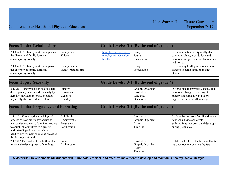| <b>Focus Topic: Relationships</b>                                                                                                                                                                                                                                      |                                                          |                                                               | Grade Levels: 3-4 (By the end of grade 4)                      |                                                                                                                                                    |
|------------------------------------------------------------------------------------------------------------------------------------------------------------------------------------------------------------------------------------------------------------------------|----------------------------------------------------------|---------------------------------------------------------------|----------------------------------------------------------------|----------------------------------------------------------------------------------------------------------------------------------------------------|
| 2.4.4.A.1 The family unit encompasses<br>the diversity of family forms in<br>contemporary society.                                                                                                                                                                     | Family unit<br>Values                                    | http://lessonplanspage.c<br>om/physical-education-<br>health/ | Essay<br>Journal<br>Presentation                               | Explain how families typically share<br>common values, provide love and<br>emotional support, and set boundaries<br>and limits.                    |
| 2.4.4.A.2 The family unit encompasses<br>the diversity of family forms in<br>contemporary society.                                                                                                                                                                     | Family values<br>Family relationships                    |                                                               | Essay<br>Presentation                                          | Explain why healthy relationships are<br>fostered in some families and not<br>others.                                                              |
| <b>Focus Topic: Sexuality</b>                                                                                                                                                                                                                                          |                                                          |                                                               | Grade Levels: 3-4 (By the end of grade 4)                      |                                                                                                                                                    |
| 2.4.4.B.1 Puberty is a period of sexual<br>development, determined primarily by<br>heredity, in which the body becomes<br>physically able to produce children.                                                                                                         | Puberty<br>Hormones<br>Genetics<br>Heredity              |                                                               | Graphic Organizer<br>Illustration<br>Role Play<br>Discussion   | Differentiate the physical, social, and<br>emotional changes occurring at<br>puberty and explain why puberty<br>begins and ends at different ages. |
| <b>Focus Topic: Pregnancy and Parenting</b>                                                                                                                                                                                                                            |                                                          |                                                               | Grade Levels: 3-4 (By the end of grade 4)                      |                                                                                                                                                    |
| 2.4.4.C.1 Knowing the physiological<br>process of how pregnancy occurs as<br>well as development of the fetus leading<br>to childbirth contribute to a greater<br>understanding of how and why a<br>healthy environment should be provided<br>for the pregnant mother. | Childbirth<br>Embryo/fetus<br>Pregnancy<br>Fertilization |                                                               | Illustrations<br>Graphic Organizer<br>Essay<br>Timeline        | Explain the process of fertilization and<br>how cells divide and create<br>embryo/fetus that grows and develops<br>during pregnancy.               |
| 2.4.4.C.2 The health of the birth mother<br>impacts the development of the fetus.                                                                                                                                                                                      | Fetus<br>Birth mother                                    |                                                               | <b>Illustrations</b><br>Graphic Organizer<br>Essay<br>Timeline | Relate the health of the birth mother to<br>the development of a healthy fetus.                                                                    |

2.5 Motor Skill Development: All students will utilize safe, efficient, and effective movement to develop and maintain a healthy, active lifestyle.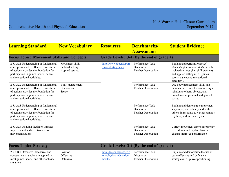| <b>Learning Standard</b>                                                                                                                                                                              | <b>New Vocabulary</b>                                  | <b>Resources</b>                               | <b>Benchmarks/</b><br><b>Assessments</b>                     | <b>Student Evidence</b>                                                                                                                                                                                   |
|-------------------------------------------------------------------------------------------------------------------------------------------------------------------------------------------------------|--------------------------------------------------------|------------------------------------------------|--------------------------------------------------------------|-----------------------------------------------------------------------------------------------------------------------------------------------------------------------------------------------------------|
| <b>Focus Topic: Movement Skills and Concepts</b>                                                                                                                                                      |                                                        |                                                | Grade Levels: 3-4 (By the end of grade 4)                    |                                                                                                                                                                                                           |
| 2.5.4.A.1 Understanding of fundamental<br>concepts related to effective execution<br>of actions provides the foundation for<br>participation in games, sports, dance,<br>and recreational activities. | Movement skills<br>Isolated setting<br>Applied setting | http://www.topendsport<br>s.com/testing/tests/ | Performance Task<br>Discussion<br><b>Teacher Observation</b> | Explain and perform essential<br>elements of movement skills in both<br>isolated settings (i.e., skill practice)<br>and applied settings (i.e., games,<br>sports, dance, and recreational<br>activities). |
| 2.5.4.A.2 Understanding of fundamental<br>concepts related to effective execution<br>of actions provides the foundation for<br>participation in games, sports, dance,<br>and recreational activities. | Body management<br><b>Boundaries</b><br>Space          |                                                | Performance Task<br><b>Teacher Observation</b>               | Use body management skills and<br>demonstrate control when moving in<br>relation to others, objects, and<br>boundaries in personal and general<br>space.                                                  |
| 2.5.4.A.3 Understanding of fundamental<br>concepts related to effective execution<br>of actions provides the foundation for<br>participation in games, sports, dance,<br>and recreational activities. |                                                        |                                                | Performance Task<br>Discussion<br><b>Teacher Observation</b> | Explain and demonstrate movement<br>sequences, individually and with<br>others, in response to various tempos,<br>rhythms, and musical styles.                                                            |
| 2.5.4.A.4 Ongoing feedback impacts<br>improvement and effectiveness of<br>movement actions.                                                                                                           |                                                        |                                                | Performance Task<br>Discussion<br><b>Teacher Observation</b> | Correct movement errors in response<br>to feedback and explain how the<br>change improves performance.                                                                                                    |

| <b>Focus Topic: Strategy</b>                                                                                           |                                    | <b>Grade Levels: 3-4 (By the end of grade 4)</b>              |                                                              |                                                                                                              |
|------------------------------------------------------------------------------------------------------------------------|------------------------------------|---------------------------------------------------------------|--------------------------------------------------------------|--------------------------------------------------------------------------------------------------------------|
| 2.5.4.B.1 Offensive, defensive, and<br>cooperative strategies are applied in<br>most games, sports, and other activity | Position<br>Offensive<br>Defensive | http://lessonplanspage.c<br>om/physical-education-<br>health/ | Performance Task<br>Discussion<br><b>Teacher Observation</b> | Explain and demonstrate the use of<br>basic offensive and defensive<br>strategies (i.e., player positioning, |
| situations.                                                                                                            |                                    |                                                               |                                                              |                                                                                                              |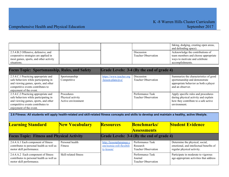|                                             |  |                            | faking, dodging, creating open areas, |
|---------------------------------------------|--|----------------------------|---------------------------------------|
|                                             |  |                            | and defending space).                 |
| $\vert$ 2.5.4.B.2 Offensive, defensive, and |  | Discussion                 | Acknowledge the contributions of      |
| cooperative strategies are applied in       |  | <b>Teacher Observation</b> | team members and choose appropriate   |
| most games, sports, and other activity      |  |                            | ways to motivate and celebrate        |
| situations.                                 |  |                            | accomplishments.                      |

| <b>Focus Topic: Sportsmanship, Rules, and Safety</b>                                                                                                                                  |                                                              |                                               | Grade Levels: 3-4 (By the end of grade 4)      |                                                                                                                                     |
|---------------------------------------------------------------------------------------------------------------------------------------------------------------------------------------|--------------------------------------------------------------|-----------------------------------------------|------------------------------------------------|-------------------------------------------------------------------------------------------------------------------------------------|
| 2.5.4.C.1 Practicing appropriate and<br>safe behaviors while participating in<br>and viewing games, sports, and other<br>competitive events contributes to<br>enjoyment of the event. | Sportsmanship<br>Competitive                                 | https://www.teacher.org<br>/lesson-plans/p-e/ | Discussion<br><b>Teacher Observation</b>       | Summarize the characteristics of good<br>sportsmanship and demonstrate<br>appropriate behavior as both a player<br>and an observer. |
| 2.5.4.C.2 Practicing appropriate and<br>safe behaviors while participating in<br>and viewing games, sports, and other<br>competitive events contributes to<br>enjoyment of the event. | <b>Procedures</b><br>Physical activity<br>Active environment |                                               | Performance Task<br><b>Teacher Observation</b> | Apply specific rules and procedures<br>during physical activity and explain<br>how they contribute to a safe active<br>environment. |

| 2.6 Fitness: All students will apply health-related and skill-related fitness concepts and skills to develop and maintain a healthy, active lifestyle. |                            |                                                                     |                                                            |                                                                                                          |
|--------------------------------------------------------------------------------------------------------------------------------------------------------|----------------------------|---------------------------------------------------------------------|------------------------------------------------------------|----------------------------------------------------------------------------------------------------------|
| <b>Learning Standard</b>                                                                                                                               | <b>New Vocabulary</b>      | <b>Resources</b>                                                    | <b>Benchmarks</b>                                          | <b>Student Evidence</b>                                                                                  |
|                                                                                                                                                        |                            |                                                                     | <b>Assessments</b>                                         |                                                                                                          |
| <b>Focus Topic: Fitness and Physical Activity</b>                                                                                                      |                            |                                                                     | Grade Levels: 3-4 (By the end of grade 4)                  |                                                                                                          |
| 2.6.4.A.1 Each component of fitness<br>contributes to personal health as well as<br>motor skill performance.                                           | Personal health<br>Fitness | http://lessonplanspage.c<br>om/tootsie-roll-flexibili<br>ty-lesson/ | Performance Task<br>Research<br><b>Teacher Observation</b> | Determine the physical, social,<br>emotional, and intellectual benefits of<br>regular physical activity. |
| 2.6.4.A.2 Each component of fitness<br>contributes to personal health as well as<br>motor skill performance.                                           | Skill-related fitness      |                                                                     | Performance Task<br>Journal<br><b>Teacher Observation</b>  | Participate in moderate to vigorous<br>age-appropriate activities that address                           |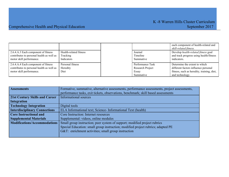|                                           |                        |                  | each component of health-related and<br>skill-related fitness. |
|-------------------------------------------|------------------------|------------------|----------------------------------------------------------------|
| 2.6.4.A.3 Each component of fitness       | Health-related fitness | Journal          | Develop health-related fitness goal                            |
| contributes to personal health as well as | Tracking               | Timeline         | and track progress using health/fitness                        |
| motor skill performance.                  | <b>Indicators</b>      | Summative        | indicators.                                                    |
| 2.6.4.A.4 Each component of fitness       | Personal fitness       | Performance Task | Determine the extent to which                                  |
| contributes to personal health as well as | Heredity               | Research Project | different factors influence personal                           |
| motor skill performance.                  | Diet                   | Essay            | fitness, such as heredity, training, diet,                     |
|                                           |                        | Summative        | and technology.                                                |

| <b>Assessments</b>                    | Formative, summative, alternative assessments, performance assessments, project assessments, |
|---------------------------------------|----------------------------------------------------------------------------------------------|
|                                       | performance tasks, exit tickets, observations, benchmark; skill based assessments            |
| <b>21st Century Skills and Career</b> | <b>Informational sources</b>                                                                 |
| Integration                           |                                                                                              |
| <b>Technology Integration</b>         | Digital tools                                                                                |
| <b>Interdisciplinary Connections</b>  | ELA Informational text; Science-Informational Text (health)                                  |
| <b>Core Instructional and</b>         | Core Instruction: Internet resources                                                         |
| <b>Supplemental Materials</b>         | Supplemental: videos, online modules                                                         |
| <b>Modifications/Accommodations</b>   | Small group instruction; peer system of support; modified project rubrics                    |
|                                       | Special Education: small group instruction; modified project rubrics; adapted PE             |
|                                       | G&T: enrichment activities; small group instruction                                          |
|                                       |                                                                                              |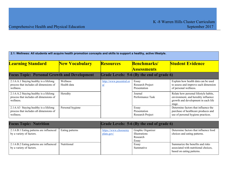| 2.1: Wellness: All students will acquire health promotion concepts and skills to support a healthy, active lifestyle. |                                |                                      |                                           |                                                                                                                               |
|-----------------------------------------------------------------------------------------------------------------------|--------------------------------|--------------------------------------|-------------------------------------------|-------------------------------------------------------------------------------------------------------------------------------|
| <b>Learning Standard</b>                                                                                              | <b>New Vocabulary</b>          | <b>Resources</b>                     | <b>Benchmarks/</b><br><b>Assessments</b>  | <b>Student Evidence</b>                                                                                                       |
| <b>Focus Topic: Personal Growth and Development</b>                                                                   |                                |                                      | Grade Levels: 5-6 (By the end of grade 6) |                                                                                                                               |
| 2.1.6.A.1 Staying healthy is a lifelong<br>process that includes all dimensions of<br>wellness.                       | <b>Wellness</b><br>Health data | http://www.pecentral.or<br><u>g/</u> | Essay<br>Research Project<br>Presentation | Explain how health data can be used<br>to assess and improve each dimension<br>of personal wellness.                          |
| 2.1.6.A.2 Staying healthy is a lifelong<br>process that includes all dimensions of<br>wellness.                       | Heredity                       |                                      | Journal<br>Performance Task               | Relate how personal lifestyle habits,<br>environment, and heredity influence<br>growth and development in each life<br>stage. |
| 2.1.6.A3 Staying healthy is a lifelong<br>process that includes all dimensions of<br>wellness.                        | Personal hygiene               |                                      | Essay<br>Presentation<br>Research Project | Determine factors that influence the<br>purchase of healthcare produces and<br>use of personal hygiene practices.             |

| <b>Focus Topic: Nutrition</b>                                        |                    | Grade Levels: 5-6 (By the end of grade 6) |                                                         |                                                                                                       |
|----------------------------------------------------------------------|--------------------|-------------------------------------------|---------------------------------------------------------|-------------------------------------------------------------------------------------------------------|
| 2.1.6.B.1 Eating patterns are influenced<br>by a variety of factors. | Eating patterns    | https://www.choosemy<br>plate.gov/        | Graphic Organizer<br>Illustrations<br>Research<br>Essay | Determine factors that influence food<br>choices and eating patterns.                                 |
| 2.1.6.B.2 Eating patterns are influenced<br>by a variety of factors. | <b>Nutritional</b> |                                           | Essay<br>Summative                                      | Summarize the benefits and risks<br>associated with nutritional choices,<br>based on eating patterns. |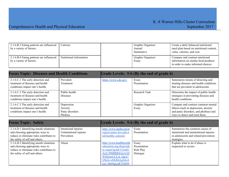| 2.1.6.B.3 Eating patterns are influenced<br>by a variety of factors. | Calories                | Graphic Organizer<br>Journal<br>Summative | Create a daily balanced nutritional<br>meal plan based on nutritional content,<br>value, calories, and cost.   |
|----------------------------------------------------------------------|-------------------------|-------------------------------------------|----------------------------------------------------------------------------------------------------------------|
| 2.1.6.B.4 Eating patterns are influenced<br>by a variety of factors. | Nutritional information | Graphic Organizer<br>Essay                | Compare and contrast nutritional<br>information on similar food products<br>in order to make informed choices. |

| <b>Focus Topic: Diseases and Health Conditions</b>                                                       |                                                     |                      | Grade Levels: 5-6 (By the end of grade 6) |                                                                                                                                                       |
|----------------------------------------------------------------------------------------------------------|-----------------------------------------------------|----------------------|-------------------------------------------|-------------------------------------------------------------------------------------------------------------------------------------------------------|
| 2.1.6.C.1 The early detection and<br>treatment of diseases and health<br>conditions impact one's health. | Prevalent<br>Treatment                              | https://www.cdc.gov/ | Essay<br>Presentation                     | Summarize means of detecting and<br>treating diseases and health conditions<br>that are prevalent in adolescents.                                     |
| 2.1.6.C.2 The early detection and<br>treatment of diseases and health<br>conditions impact one's health. | Public health<br><b>Diseases</b>                    |                      | Research Task                             | Determine the impact of public health<br>strategies in preventing diseases and<br>health conditions.                                                  |
| 2.1.6.C.3 The early detection and<br>treatment of diseases and health<br>conditions impact one's health. | Depression<br>Anxiety<br>Panic disorders<br>Phobias |                      | Graphic Organizer<br>Essay                | Compare and contrast common mental<br>illness (such as depression, anxiety<br>and panic disorders, and phobias) and<br>ways to detect and treat them. |

| <b>Focus Topic: Safety</b>               |                        | Grade Levels: 5-6 (By the end of grade 6) |              |                                        |
|------------------------------------------|------------------------|-------------------------------------------|--------------|----------------------------------------|
| 2.1.6.D.1 Identifying unsafe situations  | Intentional injuries   | http://www.nasbe.org/p                    | Essay        | Summarize the common causes of         |
| and choosing appropriate ways to         | Unintentional injuries | roject/center-for-safe-a                  | Presentation | intentional and unintentional injuries |
| reduce or eliminate risks contributes to | Prevention             | nd-healthy-schools/                       |              | in adolescents and related prevention  |
| the safety of self and others.           |                        |                                           |              | strategies.                            |
| 2.1.6.D.2 Identifying unsafe situations  | Abuse                  | http://www.healthworld                    | Essay        | Explain what to do if abuse is         |
| and choosing appropriate ways to         |                        | education.org/shop/safe                   | Presentation | suspected or occurs.                   |
| reduce or eliminate risks contributes to |                        | ty-smart?gclid=CjwKC                      | Role Play    |                                        |
| the safety of self and others.           |                        | AiA7JfSBRBrEiwA1D                         | Dialogue     |                                        |
|                                          |                        | <b>WSGZITUCUA DgA7</b>                    |              |                                        |
|                                          |                        | Q9nJe-s8JkRdAgS4oA                        |              |                                        |
|                                          |                        | ksC-0h09qlxaRTNH99                        |              |                                        |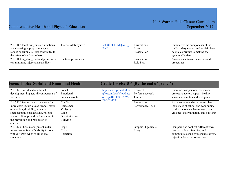| 2.1.6.D.3 Identifying unsafe situations  | Traffic safety system | 5nG8RoCbEMQAvD | <b>Illustrations</b> | Summarize the components of the       |
|------------------------------------------|-----------------------|----------------|----------------------|---------------------------------------|
| and choosing appropriate ways to         |                       | <b>BwE</b>     | Essay                | traffic safety system and explain how |
| reduce or eliminate risks contributes to |                       |                | Presentation         | people contribute to making the       |
| the safety of self and others.           |                       |                |                      | system effective.                     |
| 2.1.6.D.4 Applying first-aid procedures  | First-aid procedures  |                | Presentation         | Assess when to use basic first-aid    |
| can minimize injury and save lives.      |                       |                | Role Play            | procedures.                           |
|                                          |                       |                |                      |                                       |
|                                          |                       |                |                      |                                       |

| <b>Focus Topic: Social and Emotional Health</b>                                                                                                                                                                                                            |                                                                                 |                                                                                                  | Grade Levels: 5-6 (By the end of grade 6) |                                                                                                                                                          |
|------------------------------------------------------------------------------------------------------------------------------------------------------------------------------------------------------------------------------------------------------------|---------------------------------------------------------------------------------|--------------------------------------------------------------------------------------------------|-------------------------------------------|----------------------------------------------------------------------------------------------------------------------------------------------------------|
| 2.1.6.E.1 Social and emotional<br>development impacts all components of<br>wellness.                                                                                                                                                                       | Social<br>Emotional<br>Personal assets                                          | http://www.pecentral.or<br>g/lessonideas/ViewLess<br>on.asp?ID= $12478#$ .Wk<br><b>Z0GfCnEdU</b> | Research<br>Performance task<br>Journal   | Examine how personal assets and<br>protective factors support healthy<br>social and emotional development.                                               |
| 2.1.6.E.2 Respect and acceptance for<br>individuals regardless of gender, sexual<br>orientation, disability, ethnicity,<br>socioeconomic background, religion,<br>and/or culture provide a foundation for<br>the prevention and resolution of<br>conflict. | Conflict<br>Harassment<br>Violence<br>Gang<br>Discrimination<br><b>Bullying</b> |                                                                                                  | Presentation<br>Performance Task          | Make recommendations to resolve<br>incidences of school and community<br>conflict, violence, harassment, gang<br>violence, discrimination, and bullying. |
| 2.1.6.E.3 Stress management skills<br>impact an individual's ability to cope<br>with different types of emotional<br>situations.                                                                                                                           | Cope<br>Crisis<br>Rejection                                                     |                                                                                                  | Graphic Organizers<br>Essay               | Compare and contrast different ways<br>that individuals, families, and<br>communities cope with change, crisis,<br>rejection, loss, and separation.      |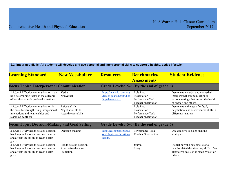| 2.2: Integrated Skills: All students will develop and use personal and interpersonal skills to support a healthy, active lifestyle.             |                                                              |                                                                        |                                                                      |                                                                                                                                         |
|-------------------------------------------------------------------------------------------------------------------------------------------------|--------------------------------------------------------------|------------------------------------------------------------------------|----------------------------------------------------------------------|-----------------------------------------------------------------------------------------------------------------------------------------|
| <b>Learning Standard</b>                                                                                                                        | <b>New Vocabulary</b>                                        | <b>Resources</b>                                                       | <b>Benchmarks/</b><br><b>Assessments</b>                             | <b>Student Evidence</b>                                                                                                                 |
| <b>Focus Topic: Interpersonal Communication</b>                                                                                                 |                                                              |                                                                        | Grade Levels: 5-6 (By the end of grade 6)                            |                                                                                                                                         |
| 2.2.6.A.1 Effective communication may<br>be a determining factor in the outcome<br>of health- and safety-related situations.                    | Verbal<br>Nonverbal                                          | https://www2.mcrel.org<br>/lesson-plans/health/hea<br>lthpelessons.asp | Role Play<br>Presentation<br>Performance Task<br>Teacher observation | Demonstrate verbal and nonverbal<br>interpersonal communication in<br>various settings that impact the health<br>of oneself and others. |
| 2.2.6.A.2 Effective communication is<br>the basis for strengthening interpersonal<br>interactions and relationships and<br>resolving conflicts. | Refusal skills<br>Negotiation skills<br>Assertiveness skills |                                                                        | Role Play<br>Presentation<br>Performance Task<br>Teacher observation | Demonstrate the use of refusal,<br>negotiation, and assertiveness skills in<br>different situations.                                    |

| <b>Focus Topic: Decision-Making and Goal Setting</b> |                         | Grade Levels: 5-6 (By the end of grade 6) |                            |                                          |
|------------------------------------------------------|-------------------------|-------------------------------------------|----------------------------|------------------------------------------|
| 2.2.6.B.1 Every health-related decision              | Decision-making         | http://lessonplanspage.c                  | Performance Task           | Use effective decision-making            |
| has long- and short-term consequences                |                         | om/physical-education-                    | <b>Teacher Observation</b> | strategies.                              |
| and affects the ability to reach health              |                         | health/                                   |                            |                                          |
| goals.                                               |                         |                                           |                            |                                          |
| 2.2.6.B.2 Every health-related decision              | Health-related decision |                                           | Journal                    | Predict how the outcome(s) of a          |
| has long- and short-term consequences                | Alternative decision    |                                           | Essay                      | health-related decision may differ if an |
| and affects the ability to reach health              | Prediction              |                                           |                            | alternative decision is made by self or  |
| goals.                                               |                         |                                           |                            | others.                                  |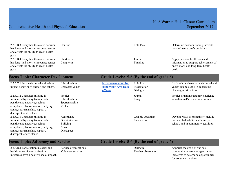| 2.2.6.B.3 Every health-related decision | Conflict   | Role Play | Determine how conflicting interests   |
|-----------------------------------------|------------|-----------|---------------------------------------|
| has long- and short-term consequences   |            |           | may influence one's decisions.        |
| and affects the ability to reach health |            |           |                                       |
| goals.                                  |            |           |                                       |
| 2.2.6.B.4 Every health-related decision | Short term | Journal   | Apply personal health data and        |
| has long- and short-term consequences   | Long term  | Timeline  | information to support achievement of |
| and affects the ability to reach health |            |           | one's short- and long-term health     |
| goals.                                  |            |           | goals.                                |

| <b>Focus Topic: Character Development</b>                                                                                                                                                                    |                                                                        | Grade Levels: 5-6 (By the end of grade 6)  |                                   |                                                                                                                    |
|--------------------------------------------------------------------------------------------------------------------------------------------------------------------------------------------------------------|------------------------------------------------------------------------|--------------------------------------------|-----------------------------------|--------------------------------------------------------------------------------------------------------------------|
| 2.2.6.C.1 Personal core ethical values<br>impact behavior of oneself and others.                                                                                                                             | Ethical values<br>Character values                                     | https://www.youtube.<br>com/watch?v=8jE6j5 | Role Play<br>Presentation         | Explain how character and core ethical<br>values can be useful in addressing                                       |
|                                                                                                                                                                                                              |                                                                        | oCay4                                      | Dialogue                          | challenging situations.                                                                                            |
| 2.2.6.C.2 Character building is<br>influenced by many factors both<br>positive and negative, such as<br>acceptance, discrimination, bullying,<br>abuse, sportsmanship, support,<br>disrespect, and violence. | Predict<br>Ethical values<br>Sportsmanship<br>Violence                 |                                            | Journal<br>Essay                  | Predict situations that may challenge<br>an individual's core ethical values.                                      |
| 2.2.6.C.3 Character building is<br>influenced by many factors both<br>positive and negative, such as<br>acceptance, discrimination, bullying,<br>abuse, sportsmanship, support,<br>disrespect, and violence. | Acceptance<br>Discrimination<br><b>Bullying</b><br>Abuse<br>Disrespect |                                            | Graphic Organizer<br>Presentation | Develop ways to proactively include<br>peers with disabilities at home, at<br>school, and in community activities. |

| <b>Focus Topic: Advocacy and Service</b>                                                                               |                                             | <b>Grade Levels: 5-6 (By the end of grade 6)</b> |                                                                                                                                         |
|------------------------------------------------------------------------------------------------------------------------|---------------------------------------------|--------------------------------------------------|-----------------------------------------------------------------------------------------------------------------------------------------|
| 2.2.6.D.1 Participation in social and<br>health- or service-organization<br>initiatives have a positive social impact. | Service organizations<br>Volunteer services | Dialogue<br>Teacher observation                  | Appraise the goals of various<br>community or service-organization<br>initiatives to determine opportunities<br>for volunteer services. |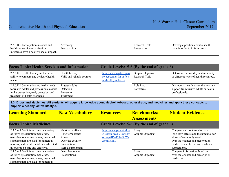| 2.2.6.D.2 Participation in social and      | Advocacv      | Research Task | Develop a position about a health |
|--------------------------------------------|---------------|---------------|-----------------------------------|
| health- or service-organization            | Peer position | Presentation  | issue in order to inform peers.   |
| initiatives have a positive social impact. |               |               |                                   |

| <b>Focus Topic: Health Services and Information</b>                                                                                                            |                                                        |                                                                           | Grade Levels: 5-6 (By the end of grade 6) |                                                                                                   |
|----------------------------------------------------------------------------------------------------------------------------------------------------------------|--------------------------------------------------------|---------------------------------------------------------------------------|-------------------------------------------|---------------------------------------------------------------------------------------------------|
| 2.2.6.E.1 Health literacy includes the<br>ability to compare and evaluate health<br>resources.                                                                 | Health literacy<br>Valid and reliable sources          | http://www.nasbe.org/p<br>roject/center-for-safe-a<br>nd-healthy-schools/ | Graphic Organizer<br>Research Task        | Determine the validity and reliability<br>of different types of health resources.                 |
| 2.2.6.E.2 Communicating health needs<br>to trusted adults and professionals assist<br>in the prevention, early detection, and<br>treatment of health problems. | Trusted adults<br>Detection<br>Prevention<br>Treatment |                                                                           | Role Play<br>Formative                    | Distinguish health issues that warrant<br>support from trusted adults or health<br>professionals. |

2.3: Drugs and Medicines: All students will acquire knowledge about alcohol, tobacco, other drugs, and medicines and apply these concepts to **support a healthy, active lifestyle.**

| <b>Learning Standard</b>                                                                                                                                                                                                                     | <b>New Vocabulary</b>                                                                                     | <b>Resources</b>                                                                                  | <b>Benchmarks/</b>                        | <b>Student Evidence</b>                                                                                                                                                                         |
|----------------------------------------------------------------------------------------------------------------------------------------------------------------------------------------------------------------------------------------------|-----------------------------------------------------------------------------------------------------------|---------------------------------------------------------------------------------------------------|-------------------------------------------|-------------------------------------------------------------------------------------------------------------------------------------------------------------------------------------------------|
|                                                                                                                                                                                                                                              |                                                                                                           |                                                                                                   | <b>Assessments</b>                        |                                                                                                                                                                                                 |
| <b>Focus Topic: Medicines</b>                                                                                                                                                                                                                |                                                                                                           |                                                                                                   | Grade Levels: 5-6 (By the end of grade 6) |                                                                                                                                                                                                 |
| 2.3.6.A.1 Medicines come in a variety<br>of forms (prescription medicines,<br>over-the-counter medicines, medicinal<br>supplements), are used for numerous<br>reasons, and should be taken as directed<br>in order to be safe and effective. | Short term effects<br>Long term effects<br>Abuse<br>Over-the-counter<br>Prescription<br>Herbal supplement | http://www.pecentral.or<br>g/lessonideas/ViewLess<br>on.asp?ID= $12466\#$ .Wk<br><b>Z0qfCnEdU</b> | Essay<br>Graphic Organizer                | Compare and contrast short- and<br>long-term effects and the potential for<br>abuse of commonly used<br>over-the-counter and prescription<br>medicines and herbal and medicinal<br>supplements. |
| 2.3.6.A.2 Medicines come in a variety<br>of forms (prescription medicines,<br>over-the-counter medicines, medicinal<br>supplements), are used for numerous                                                                                   | Over-the-counter<br>Prescriptions                                                                         |                                                                                                   | Essay<br>Graphic Organizer                | Compare information found on<br>over-the-counter and prescription<br>medicines.                                                                                                                 |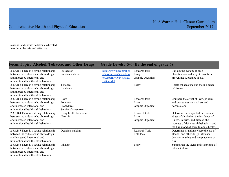| reasons<br>0 <sub>n</sub><br>directed<br>. should be taken |  |  |
|------------------------------------------------------------|--|--|
| in order<br>and effective.<br>e sate                       |  |  |

| <b>Focus Topic: Alcohol, Tobacco, and Other Drugs</b> |                        |                         | Grade Levels: 5-6 (By the end of grade 6) |                                         |
|-------------------------------------------------------|------------------------|-------------------------|-------------------------------------------|-----------------------------------------|
| 2.3.6.B.1 There is a strong relationship              | Prevention             | http://www.pecentral.or | Research task                             | Explain the system of drug              |
| between individuals who abuse drugs                   | Substance abuse        | g/lessonideas/ViewLess  | Essay                                     | classification and why it is useful in  |
| and increased intentional and                         |                        | $on.$ asp?ID=9614#.WkZ  | Graphic Organizer                         | preventing substance abuse.             |
| unintentional health-risk behaviors.                  |                        | 12fCnEdU                |                                           |                                         |
| 2.3.6.B.2 There is a strong relationship              | Tobacco                |                         | Essay                                     | Relate tobacco use and the incidence    |
| between individuals who abuse drugs                   | Incidence              |                         |                                           | of disease.                             |
| and increased intentional and                         |                        |                         |                                           |                                         |
| unintentional health-risk behaviors.                  |                        |                         |                                           |                                         |
| 2.3.6.B.3 There is a strong relationship              | Laws-                  |                         | Research task                             | Compare the effect of laws, policies,   |
| between individuals who abuse drugs                   | Policies-              |                         | Essay                                     | and procedures on smokers and           |
| and increased intentional and                         | Procedures             |                         | Graphic Organizer                         | nonsmokers.                             |
| unintentional health-risk behaviors.                  | Smokers/nonsmokers     |                         |                                           |                                         |
| 2.3.6.B.4 There is a strong relationship              | Risky health behaviors |                         | Research task                             | Determine the impact of the use and     |
| between individuals who abuse drugs                   | Harmful                |                         | Essay                                     | abuse of alcohol on the incidence of    |
| and increased intentional and                         |                        |                         | Graphic Organizer                         | illness, injuries, and disease, the     |
| unintentional health-risk behaviors.                  |                        |                         |                                           | increase of risky health behaviors, and |
|                                                       |                        |                         |                                           | the likelihood of harm to one's health. |
| 2.3.6.B.5 There is a strong relationship              | Decision-making        |                         | <b>Research Task</b>                      | Determine situations where the use of   |
| between individuals who abuse drugs                   |                        |                         | Role Play                                 | alcohol and other drugs influence       |
| and increased intentional and                         |                        |                         |                                           | decision-making and can place one at    |
| unintentional health-risk behaviors.                  |                        |                         |                                           | risk.                                   |
| 2.3.6.B.6 There is a strong relationship              | Inhalant               |                         | Essay                                     | Summarize the signs and symptoms of     |
| between individuals who abuse drugs                   |                        |                         |                                           | inhalant abuse.                         |
| and increased intentional and                         |                        |                         |                                           |                                         |
| unintentional health-risk behaviors.                  |                        |                         |                                           |                                         |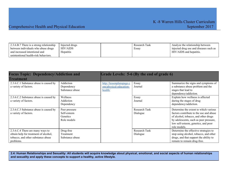### Comprehensive Health and Physical Education September 2017

| 2.3.6.B.7 There is a strong relationship<br>between individuals who abuse drugs | Injected drugs<br>HIV/AIDS | Research Task<br>Essav | Analyze the relationship between<br>injected drug use and diseases such as |
|---------------------------------------------------------------------------------|----------------------------|------------------------|----------------------------------------------------------------------------|
| and increased intentional and                                                   | Hepatitis                  |                        | HIV/AIDS and hepatitis.                                                    |
| unintentional health-risk behaviors.                                            |                            |                        |                                                                            |

| <b>Focus Topic: Dependency/Addiction and</b><br><b>Treatment</b>                                                             |                                                         |                                                               | Grade Levels: 5-6 (By the end of grade 6) |                                                                                                                                                                                                                           |
|------------------------------------------------------------------------------------------------------------------------------|---------------------------------------------------------|---------------------------------------------------------------|-------------------------------------------|---------------------------------------------------------------------------------------------------------------------------------------------------------------------------------------------------------------------------|
| 2.3.6.C.1 Substance abuse is caused by<br>a variety of factors.                                                              | Addiction<br>Dependency<br>Substance abuse              | http://lessonplanspage.c<br>om/physical-education-<br>health/ | Essay<br>Journal                          | Summarize the signs and symptoms of<br>a substance abuse problem and the<br>stages that lead to<br>dependency/addiction.                                                                                                  |
| 2.3.6.C.2 Substance abuse is caused by<br>a variety of factors.                                                              | Wellness<br>Addiction<br>Dependency                     |                                                               | Essay<br>Journal                          | Explain how wellness is affected<br>during the stages of drug<br>dependency/addiction.                                                                                                                                    |
| 2.3.6.C.3 Substance abuse is caused by<br>a variety of factors.                                                              | Peer pressure<br>Self-esteem<br>Genetics<br>Role models |                                                               | <b>Research Task</b><br>Dialogue          | Determine the extent to which various<br>factors contribute to the use and abuse<br>of alcohol, tobacco, and other drugs<br>by adolescents, such as peer pressure,<br>low self-esteem, genetics, and poor<br>role models. |
| 2.3.6.C.4 There are many ways to<br>obtain help for treatment of alcohol,<br>tobacco, and other substance abuse<br>problems. | Drug-free<br>Treatment<br>Substance abuse               |                                                               | <b>Research Task</b><br>Dialogue          | Determine the effective strategies to<br>stop using alcohol, tobacco, and other<br>drugs, and that support the ability to<br>remain to remain drug-free.                                                                  |

2.4: Human Relationships and Sexuality: All students will acquire knowledge about physical, emotional, and social aspects of human relationships **and sexuality and apply these concepts to support a healthy, active lifestyle.**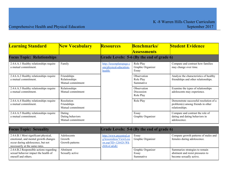| <b>Learning Standard</b>                                        | <b>New Vocabulary</b>                             | <b>Resources</b>                                              | <b>Benchmarks/</b>                        | <b>Student Evidence</b>                                                                       |
|-----------------------------------------------------------------|---------------------------------------------------|---------------------------------------------------------------|-------------------------------------------|-----------------------------------------------------------------------------------------------|
|                                                                 |                                                   |                                                               | <b>Assessments</b>                        |                                                                                               |
| <b>Focus Topic: Relationships</b>                               |                                                   |                                                               | Grade Levels: 5-6 (By the end of grade 6) |                                                                                               |
| 2.4.6.A.1 Healthy relationships require<br>a mutual commitment. | Family                                            | http://lessonplanspage.c<br>om/physical-education-<br>health/ | Role Play<br>Graphic Organizer<br>Essay   | Compare and contrast how families<br>may change over time.                                    |
| 2.4.6.A.2 Healthy relationships require<br>a mutual commitment. | Friendships<br>Relationships<br>Mutual commitment |                                                               | Observation<br>Role Play<br>Summative     | Analyze the characteristics of healthy<br>friendships and other relationships.                |
| 2.4.6.A.3 Healthy relationships require<br>a mutual commitment. | Relationships<br>Mutual commitment                |                                                               | Observation<br>Discussion<br>Role Play    | Examine the types of relationships<br>adolescents may experience.                             |
| 2.4.6.A.4 Healthy relationships require<br>a mutual commitment. | Resolution<br>Friendships<br>Mutual commitment    |                                                               | Role Play                                 | Demonstrate successful resolution of a<br>problem(s) among friends in other<br>relationships. |
| 2.4.6.A.5 Healthy relationships require<br>a mutual commitment. | Dating<br>Dating behaviors<br>Mutual commitment   |                                                               | Essay<br>Graphic Organizer                | Compare and contrast the role of<br>dating and dating behaviors in<br>adolescence.            |

| <b>Focus Topic: Sexuality</b>           |                 | Grade Levels: 5-6 (By the end of grade 6) |                   |                                      |
|-----------------------------------------|-----------------|-------------------------------------------|-------------------|--------------------------------------|
| 2.4.6.B.1 Most significant physical,    | Adolescents     | http://www.pecentral.or                   | Essay             | Compare growth patterns of males and |
| emotional, and mental growth changes    | Growth          | g/lessonideas/ViewLess                    | Graphic Organizer | females during adolescence.          |
| occur during adolescence, but not       | Growth patterns | on.asp?ID= $12642\#$ .Wk                  |                   |                                      |
| necessarily at the same rates.          |                 | <b>Z0XvCnEdU</b>                          |                   |                                      |
| 2.4.6.B.2 Responsible actions regarding | Abstinent       |                                           | Graphic Organizer | Summarize strategies to remain       |
| sexual behavior impact the health of    | Sexually active |                                           | Essay             | abstinent and resist pressures to    |
| oneself and others.                     |                 |                                           | Summative         | become sexually active.              |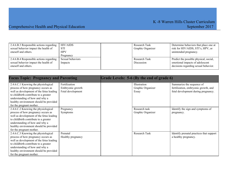| 2.4.6.B.3 Responsible actions regarding<br>sexual behavior impact the health of<br>oneself and others. | <b>HIV/AIDS</b><br>STI<br><b>HPV</b><br>Pregnancy | Research Task<br>Graphic Organizer | Determine behaviors that place one at<br>risk for HIV/AIDS, STI's, HPV, or<br>unintended pregnancy.               |
|--------------------------------------------------------------------------------------------------------|---------------------------------------------------|------------------------------------|-------------------------------------------------------------------------------------------------------------------|
| 2.4.6.B.4 Responsible actions regarding<br>sexual behavior impact the health of<br>oneself and others. | Sexual behaviors<br>Impacts                       | Research Task<br><b>Discussion</b> | Predict the possible physical, social,<br>emotional impacts of adolescent<br>decisions regarding sexual behavior. |

| <b>Focus Topic: Pregnancy and Parenting</b>                                                                                                                                                                                                                            |                                                        | Grade Levels: 5-6 (By the end of grade 6)  |                                                                                                          |
|------------------------------------------------------------------------------------------------------------------------------------------------------------------------------------------------------------------------------------------------------------------------|--------------------------------------------------------|--------------------------------------------|----------------------------------------------------------------------------------------------------------|
| 2.4.6.C.1 Knowing the physiological<br>process of how pregnancy occurs as<br>well as development of the fetus leading<br>to childbirth contribute to a greater<br>understanding of how and why a<br>healthy environment should be provided<br>for the pregnant mother. | Fertilization<br>Embryonic growth<br>Fetal development | Illustration<br>Graphic Organizer<br>Essay | Summarize the sequence of<br>fertilization, embryonic growth, and<br>fetal development during pregnancy. |
| 2.4.6.C.2 Knowing the physiological<br>process of how pregnancy occurs as<br>well as development of the fetus leading<br>to childbirth contribute to a greater<br>understanding of how and why a<br>healthy environment should be provided<br>for the pregnant mother. | Pregnancy<br>Symptoms                                  | Research task<br>Graphic Organizer         | Identify the sign and symptoms of<br>pregnancy.                                                          |
| 2.4.6.C.3 Knowing the physiological<br>process of how pregnancy occurs as<br>well as development of the fetus leading<br>to childbirth contribute to a greater<br>understanding of how and why a<br>healthy environment should be provided<br>for the pregnant mother. | Prenatal<br>Healthy pregnancy                          | Research Task                              | Identify prenatal practices that support<br>a healthy pregnancy.                                         |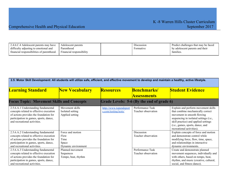| 2.4.6.C.4 Adolescent parents may have     | Adolescent parents       | Discussion | Predict challenges that may be faced |
|-------------------------------------------|--------------------------|------------|--------------------------------------|
| difficulty adjusting to emotional and     | Parenthood               | Formative  | by adolescent parents and their      |
| financial responsibilities of parenthood. | Financial responsibility |            | tamilies                             |
|                                           |                          |            |                                      |

| 2.5: Motor Skill Development: All students will utilize safe, efficient, and effective movement to develop and maintain a healthy, active lifestyle.                                               |                                                                  |                                                |                                           |                                                                                                                                                                                                                                                           |
|----------------------------------------------------------------------------------------------------------------------------------------------------------------------------------------------------|------------------------------------------------------------------|------------------------------------------------|-------------------------------------------|-----------------------------------------------------------------------------------------------------------------------------------------------------------------------------------------------------------------------------------------------------------|
| <b>Learning Standard</b>                                                                                                                                                                           | <b>New Vocabulary</b>                                            | <b>Resources</b>                               | <b>Benchmarks/</b><br><b>Assessments</b>  | <b>Student Evidence</b>                                                                                                                                                                                                                                   |
| <b>Focus Topic: Movement Skills and Concepts</b>                                                                                                                                                   |                                                                  |                                                | Grade Levels: 5-6 (By the end of grade 6) |                                                                                                                                                                                                                                                           |
| 2.5.6.A.1 Understanding fundamental<br>concepts related to effective execution<br>of actions provides the foundation for<br>participation in games, sports, dance,<br>and recreational activities. | Movement skills<br>Isolated setting<br>Applied setting           | http://www.topendsport<br>s.com/testing/tests/ | Performance Task<br>Teacher observation   | Explain and perform movement skills<br>that combine mechanically correct<br>movement in smooth flowing<br>sequencing in isolated settings (i.e.,<br>skill practice) and applied settings<br>(i.e., games, sports, dance, and<br>recreational activities). |
| 2.5.6.A.2 Understanding fundamental<br>concepts related to effective execution<br>of actions provides the foundation for<br>participation in games, sports, dance,<br>and recreational activities. | Force and motion<br>Flow<br>Time<br>Space<br>Dynamic environment |                                                | <b>Discussion</b><br>Teacher observation  | Explain concepts of force and motion<br>and demonstrate control while<br>modifying force, flow, time, space,<br>and relationships in interactive<br>dynamic environments.                                                                                 |
| 2.5.6.A.3 Understanding fundamental<br>concepts related to effective execution<br>of actions provides the foundation for<br>participation in games, sports, dance,<br>and recreational activities. | Planned movement<br>Sequences<br>Tempo, beat, rhythm             |                                                | Performance Task<br>Teacher observation   | Create and demonstrate planned<br>movement sequences, individually and<br>with others, based on tempo, beat,<br>rhythm, and music (creative, cultural,<br>social, and fitness dance).                                                                     |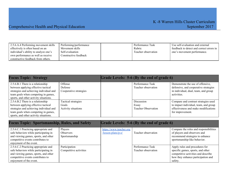| 2.5.6.A.4 Performing movement skills  | Performing/performance | Performance Task     | Use self-evaluation and external         |
|---------------------------------------|------------------------|----------------------|------------------------------------------|
| effectively is often based on an      | Movement skills        | Rubric               | feedback to detect and correct errors in |
| individual's ability to analyze one's | Self-evaluation        | l'eacher observation | one's movement performance.              |
| own performance as well as receive    | Constructive feedback  |                      |                                          |
| constructive feedback from others.    |                        |                      |                                          |

| <b>Focus Topic: Strategy</b>                                                                                                                                                                         |                                                     | Grade Levels: 5-6 (By the end of grade 6)         |                                                                                                                                           |
|------------------------------------------------------------------------------------------------------------------------------------------------------------------------------------------------------|-----------------------------------------------------|---------------------------------------------------|-------------------------------------------------------------------------------------------------------------------------------------------|
| 2.5.6.B.1 There is a relationship<br>between applying effective tactical<br>strategies and achieving individual and<br>team goals when competing in games,<br>sports, and other activity situations. | Offense<br>Defense<br>Cooperative strategies        | Performance Task<br>Teacher observation           | Demonstrate the use of offensive,<br>defensive, and cooperative strategies<br>in individual, dual, team, and group<br>activities.         |
| 2.5.6.B.2 There is a relationship<br>between applying effective tactical<br>strategies and achieving individual and<br>team goals when competing in games,<br>sports, and other activity situations. | Tactical strategies<br>Goals<br>Activity situations | Discussion<br>Essay<br><b>Teacher Observation</b> | Compare and contrast strategies used<br>to impact individual, team, and group<br>effectiveness and make modifications<br>for improvement. |

| <b>Focus Topic: Sportsmanship, Rules, and Safety</b>                                                                                                                                  |                                         |                                                 | Grade Levels: 5-6 (By the end of grade 6) |                                                                                                                                                             |
|---------------------------------------------------------------------------------------------------------------------------------------------------------------------------------------|-----------------------------------------|-------------------------------------------------|-------------------------------------------|-------------------------------------------------------------------------------------------------------------------------------------------------------------|
| 2.5.6.C.1 Practicing appropriate and<br>safe behaviors while participating in<br>and viewing games, sports, and other<br>competitive events contributes to<br>enjoyment of the event. | Players<br>Observers<br>Sportsmanship   | https://www.teacher.org<br>$l$ esson-plans/p-e/ | Teacher observation                       | Compare the roles and responsibilities<br>of players and observers and<br>recommend strategies to enhance<br>sportsmanship-like behavior.                   |
| 2.5.6.C.2 Practicing appropriate and<br>safe behaviors while participating in<br>and viewing games, sports, and other<br>competitive events contributes to<br>enjoyment of the event. | Participation<br>Competitive activities |                                                 | Performance Task<br>Teacher observation   | Apply rules and procedures for<br>specific games, sports, and other<br>competitive activities and describe<br>how they enhance participation and<br>safety. |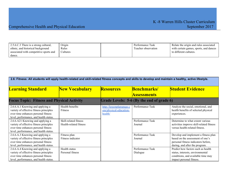| 2.5.6.C.3 There is a strong cultural.<br>ethnic, and historical background | Origin<br>Rules | Performance Task<br>Teacher observation | Relate the origin and rules associated<br>with certain games, sports, and dances |
|----------------------------------------------------------------------------|-----------------|-----------------------------------------|----------------------------------------------------------------------------------|
| associated with competitive sports and<br>dance.                           | <b>Cultures</b> |                                         | to different cultures.                                                           |
|                                                                            |                 |                                         |                                                                                  |

| 2.6: Fitness: All students will apply health-related and skill-related fitness concepts and skills to develop and maintain a healthy, active lifestyle.      |                                                 |                                                               |                                           |                                                                                                                                                   |
|--------------------------------------------------------------------------------------------------------------------------------------------------------------|-------------------------------------------------|---------------------------------------------------------------|-------------------------------------------|---------------------------------------------------------------------------------------------------------------------------------------------------|
| <b>Learning Standard</b>                                                                                                                                     | <b>New Vocabulary</b>                           | <b>Resources</b>                                              | <b>Benchmarks/</b><br><b>Assessments</b>  | <b>Student Evidence</b>                                                                                                                           |
| <b>Focus Topic: Fitness and Physical Activity</b>                                                                                                            |                                                 |                                                               | Grade Levels: 5-6 (By the end of grade 6) |                                                                                                                                                   |
| 2.6.6.A.1 Knowing and applying a<br>variety of effective fitness principles<br>over time enhances personal fitness<br>level, performance, and health status. | Health benefits<br><b>Fitness</b>               | http://lessonplanspage.c<br>om/physical-education-<br>health/ | Performance Task                          | Analyze the social, emotional, and<br>health benefits of selected physical<br>experiences.                                                        |
| 2.6.6.A21 Knowing and applying a<br>variety of effective fitness principles<br>over time enhances personal fitness<br>level, performance, and health status. | Skill-related fitness<br>Health-related fitness |                                                               | Performance Task<br>Journal               | Determine to what extent various<br>activities improve skill-related fitness<br>versus health-related fitness.                                    |
| 2.6.6.A.3 Knowing and applying a<br>variety of effective fitness principles<br>over time enhances personal fitness<br>level, performance, and health status. | Fitness plan<br>Fitness indicator               |                                                               | Performance Task<br>Journal               | Develop and implement a fitness plan<br>based on the assessment of one's<br>personal fitness indicators before,<br>during, and after the program. |
| 2.6.6.A.4 Knowing and applying a<br>variety of effective fitness principles<br>over time enhances personal fitness<br>level, performance, and health status. | Health status<br>Personal fitness               |                                                               | Performance Task<br>Dialogue              | Predict how factors such as health<br>status, interests, environmental<br>conditions, and available time may<br>impact personal fitness.          |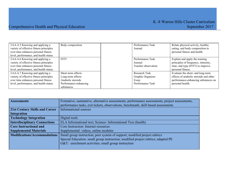| 2.6.6.A.5 Knowing and applying a<br>variety of effective fitness principles<br>over time enhances personal fitness<br>level, performance, and health status. | Body composition                                                                                    | Performance Task<br>Journal                                            | Relate physical activity, healthy<br>eating, and body composition to<br>personal fitness and health.                                   |
|--------------------------------------------------------------------------------------------------------------------------------------------------------------|-----------------------------------------------------------------------------------------------------|------------------------------------------------------------------------|----------------------------------------------------------------------------------------------------------------------------------------|
| 2.6.6.A.6 Knowing and applying a<br>variety of effective fitness principles<br>over time enhances personal fitness<br>level, performance, and health status. | <b>FITT</b>                                                                                         | Performance Task<br>Journal<br>Teacher observation                     | Explain and apply the training<br>principles of frequency, intensity,<br>time, and type (FITT) to improve<br>personal fitness.         |
| 2.6.6.A.7 Knowing and applying a<br>variety of effective fitness principles<br>over time enhances personal fitness<br>level, performance, and health status. | Short-term effects<br>Long-term effects<br>Anabolic steroids<br>Performance-enhancing<br>substances | <b>Research Task</b><br>Graphic Organizer<br>Essay<br>Performance Task | Evaluate the short- and long-term<br>effects of anabolic steroids and other<br>performance-enhancing substances on<br>personal health. |

| <b>Assessments</b>                    | Formative, summative, alternative assessments, performance assessments, project assessments,<br>performance tasks, exit tickets, observations, benchmark; skill based assessments |
|---------------------------------------|-----------------------------------------------------------------------------------------------------------------------------------------------------------------------------------|
| <b>21st Century Skills and Career</b> | <b>Informational sources</b>                                                                                                                                                      |
| Integration                           |                                                                                                                                                                                   |
| <b>Technology Integration</b>         | Digital tools                                                                                                                                                                     |
| <b>Interdisciplinary Connections</b>  | ELA Informational text; Science-Informational Text (health)                                                                                                                       |
| <b>Core Instructional and</b>         | Core Instruction: Internet resources                                                                                                                                              |
| <b>Supplemental Materials</b>         | Supplemental: videos, online modules                                                                                                                                              |
| Modifications/Accommodations          | Small group instruction; peer system of support; modified project rubrics                                                                                                         |
|                                       | Special Education: small group instruction; modified project rubrics; adapted PE                                                                                                  |
|                                       | G&T: enrichment activities; small group instruction                                                                                                                               |
|                                       |                                                                                                                                                                                   |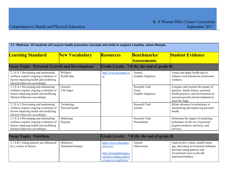| 2.1: Wellness: All students will acquire health promotion concepts and skills to support a healthy, active lifestyle.                                         |                               |                                      |                                             |                                                                                                                                                                            |
|---------------------------------------------------------------------------------------------------------------------------------------------------------------|-------------------------------|--------------------------------------|---------------------------------------------|----------------------------------------------------------------------------------------------------------------------------------------------------------------------------|
| <b>Learning Standard</b>                                                                                                                                      | <b>New Vocabulary</b>         | <b>Resources</b>                     | <b>Benchmarks/</b><br><b>Assessments</b>    | <b>Student Evidence</b>                                                                                                                                                    |
| <b>Focus Topic: Personal Growth and Development</b>                                                                                                           |                               |                                      | Grade Levels: 7-8 (by the end of grade 8)   |                                                                                                                                                                            |
| 2.1.8.A.1 Developing and maintaining<br>wellness requires ongoing evaluation of<br>factors impacting health and modifying<br>lifestyle behaviors accordingly. | Wellness<br>Health data       | http://www.pecentral.or<br><u>g/</u> | Journal<br>Graphic Organizer                | Assess and apply health data to<br>enhance each dimension of personal<br>wellness.                                                                                         |
| 2.1.8.A.2 Developing and maintaining<br>wellness requires ongoing evaluation of<br>factors impacting health and modifying<br>lifestyle behaviors accordingly. | Genetics<br>Life stages       |                                      | Research Task<br>Essay<br>Graphic Organizer | Compare and contrast the impact of<br>genetics, family history, personal<br>health practices, and environment on<br>personal growth and development in<br>each life stage. |
| 2.1.8.A.3 Developing and maintaining<br>wellness requires ongoing evaluation of<br>factors impacting health and modifying<br>lifestyle behaviors accordingly. | Technology<br>Personal health |                                      | Research Task<br>Journal                    | Relate advances in technology to<br>maintaining and improving personal<br>health.                                                                                          |
| 2.1.8.A.4 Developing and maintaining<br>wellness requires ongoing evaluation of<br>factors impacting health and modifying<br>lifestyle behaviors accordingly. | Marketing<br>Hygiene          |                                      | Research Task<br>Presentation               | Determine the impact of marketing<br>techniques on the use of personal<br>hygiene products, practices, and<br>services.                                                    |

| <b>Focus Topic: Nutrition</b>                                        |                                   | Grade Levels: 7-8 (by the end of grade 8)                                     |                        |                                                                                                              |
|----------------------------------------------------------------------|-----------------------------------|-------------------------------------------------------------------------------|------------------------|--------------------------------------------------------------------------------------------------------------|
| 2.1.8.B.1 Eating patterns are influenced<br>by a variety of factors. | Influences<br>Nutritional balance | https://www.choosemy<br>plate.gov/                                            | Journal<br>Observation | Analyze how culture, health status,<br>age, and eating environment influence<br>personal eating patterns and |
|                                                                      |                                   | http://lessonplanspage.c<br>om/how-cutting-calorie<br>s-leads-to-weight-loss/ |                        | recommend ways to provide<br>nutritional balance.                                                            |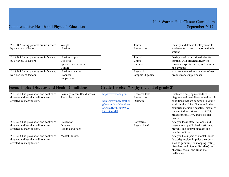| 2.1.8.B.2 Eating patterns are influenced<br>by a variety of factors. | Weight<br>Nutrition                                               | Journal<br>Presentation               | Identify and defend healthy ways for<br>adolescents to lose, gain, or maintain<br>weight.                                           |
|----------------------------------------------------------------------|-------------------------------------------------------------------|---------------------------------------|-------------------------------------------------------------------------------------------------------------------------------------|
| 2.1.8.B.3 Eating patterns are influenced<br>by a variety of factors. | Nutritional plan<br>Lifestyle<br>Special dietary needs<br>Culture | Journal<br><b>Charts</b><br>Summative | Design weekly nutritional plan for<br>families with different lifestyles,<br>resources, special needs, and cultural<br>backgrounds. |
| 2.1.8.B.4 Eating patterns are influenced<br>by a variety of factors. | Nutritional values<br>Products<br>Supplements                     | Research<br>Graphic Organizer         | Analyze the nutritional values of new<br>products and supplements.                                                                  |

| <b>Focus Topic: Diseases and Health Conditions</b>                                                         |                                                    |                                                                                                                | Grade Levels: 7-8 (by the end of grade 8) |                                                                                                                                                                                                                                                                                         |
|------------------------------------------------------------------------------------------------------------|----------------------------------------------------|----------------------------------------------------------------------------------------------------------------|-------------------------------------------|-----------------------------------------------------------------------------------------------------------------------------------------------------------------------------------------------------------------------------------------------------------------------------------------|
| 2.1.8.C.1 The prevention and control of<br>diseases and health conditions are<br>affected by many factors. | Sexually transmitted diseases<br>Testicular cancer | https://www.cdc.gov/<br>http://www.pecentral.or<br>g/lessonideas/ViewLess<br>on.asp?ID=133025#.W<br>kZzbfCnEdU | Research task<br>Presentation<br>Dialogue | Evaluate emerging methods to<br>diagnose and treat diseases and health<br>conditions that are common in young<br>adults in the United States and other<br>countries including hepatitis, sexually<br>transmitted infections, HIV/AIDS,<br>breast cancer, HPV, and testicular<br>cancer. |
| 2.1.8.C.2 The prevention and control of<br>diseases and health conditions are<br>affected by many factors. | Prevention<br>Disease<br>Health conditions         |                                                                                                                | Formative<br>Research task                | Analyze local, state, national, and<br>international public health efforts to<br>prevent, and control diseases and<br>health conditions.                                                                                                                                                |
| 2.1.8.C.3 The prevention and control of<br>diseases and health conditions are<br>affected by many factors. | Mental illnesses                                   |                                                                                                                |                                           | Analyze the impact of mental illness<br>(e.g., depression, impulse disorders<br>such as gambling or shopping, eating<br>disorders, and bipolar disorders) on<br>physical, social, and emotional<br>well-being.                                                                          |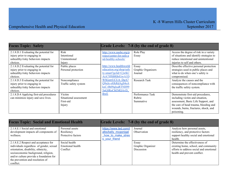| <b>Focus Topic: Safety</b>              |                        |                          | Grade Levels: 7-8 (by the end of grade 8) |                                          |
|-----------------------------------------|------------------------|--------------------------|-------------------------------------------|------------------------------------------|
| 2.1.8.D.1 Evaluating the potential for  | <b>Risk</b>            | http://www.nasbe.org/p   | Role Play                                 | Access the degree of risk in a variety   |
| injury prior to engaging in             | Intentional            | roject/center-for-safe-a | Essay                                     | of situations and identify strategies to |
| unhealthy/risky behaviors impacts       | Unintentional          | nd-healthy-schools/      |                                           | reduce intentional and unintentional     |
| choices.                                | Injury                 |                          |                                           | injuries to self and others.             |
| 2.1.8.D.2 Evaluating the potential for  | Public places          | http://www.healthworld   | Essay                                     | Describe effective personal protection   |
| injury prior to engaging in             | Personal protection    | education.org/shop/safe  | Graphic Organizers                        | strategies used in public places and     |
| unhealthy/risky behaviors impacts       |                        | ty-smart?gclid=CjwKC     | Journal                                   | what to do when one's safety is          |
| choices.                                |                        | AiA7JfSBRBrEiwA1D        |                                           | compromised.                             |
| 2.1.8.D.3 Evaluating the potential for  | Noncompliance          | <b>WSGzrrUCUA DgA7</b>   | <b>Research Task</b>                      | Analyze the causes and the               |
| injury prior to engaging in             | Traffic safety system  | Q9nJe-s8JkRdAgS4oA       |                                           | consequences of noncompliance with       |
| unhealthy/risky behaviors impacts       |                        | ksC-0h09qlxaRTNH99       |                                           | the traffic safety system.               |
| choices.                                |                        | 5nG8RoCbEMQAvD           |                                           |                                          |
| 2.1.8.D.4 Applying first-aid procedures | Victim                 | <b>BwE</b>               | Performance Task                          | Demonstrate first-aid procedures,        |
| can minimize injury and save lives.     | Situational assessment |                          | Rubric                                    | including victim and situation,          |
|                                         | First-aid              |                          | Summative                                 | assessment, Basic Life Support, and      |
|                                         | Injury                 |                          |                                           | the care of head trauma, bleeding and    |
|                                         |                        |                          |                                           | wounds, burns, fractures, shock, and     |
|                                         |                        |                          |                                           | poisoning.                               |

| <b>Focus Topic: Social and Emotional Health</b>                                                                                                                                                                                                            |                                                     |                                                                                     | Grade Levels: 7-8 (by the end of grade 8) |                                                                                                                                                   |
|------------------------------------------------------------------------------------------------------------------------------------------------------------------------------------------------------------------------------------------------------------|-----------------------------------------------------|-------------------------------------------------------------------------------------|-------------------------------------------|---------------------------------------------------------------------------------------------------------------------------------------------------|
| 2.1.8.E.1 Social and emotional<br>development impacts all components of<br>wellness.                                                                                                                                                                       | Personal assets<br>Resiliency<br>Protective factors | https://www.ted.com/t<br>alks/kelly mcgonigal<br>how to make stres<br>s your friend | Journal<br>Observation                    | Analyze how personal assets,<br>resiliency, and protective factors<br>support healthy social and emotional<br>health.                             |
| 2.1.8.E.2 Respect and acceptance for<br>individuals regardless of gender, sexual<br>orientation, disability, ethnicity,<br>socioeconomic background, religion,<br>and/or culture provide a foundation for<br>the prevention and resolution of<br>conflict. | Social health<br>Emotional health<br>Conflict       |                                                                                     | Essay<br>Graphic Organizer<br>Discussion  | Determine the effectiveness of<br>existing home, school, and community<br>efforts to address social and emotional<br>health and prevent conflict. |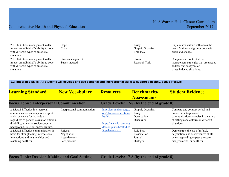# Comprehensive Health and Physical Education September 2017

| 2.1.8.E.3 Stress management skills<br>impact an individual's ability to cope<br>with different types of emotional<br>situations. | $C$ ope<br>Crisis                   | Essay<br>Graphic Organizer<br>Role Play | Explain how culture influences the<br>ways families and groups cope with<br>crisis and change.    |
|----------------------------------------------------------------------------------------------------------------------------------|-------------------------------------|-----------------------------------------|---------------------------------------------------------------------------------------------------|
| 2.1.8.E.4 Stress management skills<br>impact an individual's ability to cope<br>with different types of emotional                | Stress management<br>Stress-induced | <b>Stress</b><br>Research Task          | Compare and contrast stress<br>management strategies that are used to<br>address various types of |
| situations.                                                                                                                      |                                     |                                         | stress-induced situations.                                                                        |

|                                                                                                                                                                                                                                        | 2.2: Integrated Skills: All students will develop and use personal and interpersonal skills to support a healthy, active lifestyle. |                                                                                                                     |                                                         |                                                                                                                                                             |
|----------------------------------------------------------------------------------------------------------------------------------------------------------------------------------------------------------------------------------------|-------------------------------------------------------------------------------------------------------------------------------------|---------------------------------------------------------------------------------------------------------------------|---------------------------------------------------------|-------------------------------------------------------------------------------------------------------------------------------------------------------------|
| <b>Learning Standard</b>                                                                                                                                                                                                               | <b>New Vocabulary</b>                                                                                                               | <b>Resources</b>                                                                                                    | <b>Benchmarks/</b><br><b>Assessments</b>                | <b>Student Evidence</b>                                                                                                                                     |
| <b>Focus Topic: Interpersonal Communication</b>                                                                                                                                                                                        |                                                                                                                                     |                                                                                                                     | Grade Levels: 7-8 (by the end of grade 8)               |                                                                                                                                                             |
| 2.2.8.A.1 Effective interpersonal<br>communication encompasses respect<br>and acceptance for individuals<br>regardless of gender, sexual orientation,<br>disability, ethnicity, socioeconomic<br>background, religion, and/or culture. | Interpersonal communication                                                                                                         | http://lessonplanspage.c<br>om/physical-education-<br>health/<br>https://www2.mcrel.org<br>/lesson-plans/health/hea | Graphic Organizer<br>Essay<br>Observation<br>Discussion | Compare and contrast verbal and<br>nonverbal interpersonal<br>communication strategies in a variety<br>of settings and cultures in different<br>situations. |
| 2.2.8.A.1 Effective communication is<br>basis for strengthening interpersonal<br>interactions and relationships and<br>resolving conflicts.                                                                                            | Refusal<br>Negotiation<br>Assertiveness<br>Peer pressure                                                                            | lthpelessons.asp                                                                                                    | Role Play<br>Presentation<br>Journal<br>Dialogue        | Demonstrate the use of refusal,<br>negotiation, and assertiveness skills<br>when responding to peer pressure,<br>disagreements, or conflicts.               |

**Focus Topic: Decision-Making and Goal Setting Grade Levels: 7-8 (by the end of grade 8)**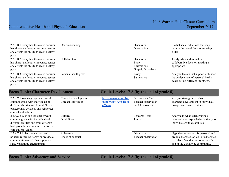| 2.2.8.B.1 Every health-related decision<br>has short- and long-term consequences<br>and affects the ability to reach healthy<br>goals. | Decision-making       | Discussion<br>Observation            |                    | Predict social situations that may<br>require the use of decision-making<br>skills.                                 |
|----------------------------------------------------------------------------------------------------------------------------------------|-----------------------|--------------------------------------|--------------------|---------------------------------------------------------------------------------------------------------------------|
| 2.2.8.B.2 Every health-related decision<br>has short- and long-term consequences<br>and affects the ability to reach healthy<br>goals. | Collaborative         | Discussion<br>Essay<br>Illustrations | Graphic Organizers | Justify when individual or<br>collaborative decision-making is<br>appropriate.                                      |
| 2.2.8.B.3 Every health-related decision<br>has short- and long-term consequences<br>and affects the ability to reach healthy<br>goals. | Personal health goals | Essay<br>Summative                   |                    | Analyze factors that support or hinder<br>the achievement of personal health<br>goals during different life stages. |

| <b>Focus Topic: Character Development</b>                                                                                                                                      |                                              |                                                     | Grade Levels: 7-8 (by the end of grade 8)                  |                                                                                                                                                            |
|--------------------------------------------------------------------------------------------------------------------------------------------------------------------------------|----------------------------------------------|-----------------------------------------------------|------------------------------------------------------------|------------------------------------------------------------------------------------------------------------------------------------------------------------|
| 2.2.8.C.1 Working together toward<br>common goals with individuals of<br>different abilities and from different<br>backgrounds develops and reinforces<br>core ethical values. | Character development<br>Core ethical values | https://www.youtube.<br>com/watch?v=8jE6j5<br>oCay4 | Performance Task<br>Teacher observation<br>Self-Assessment | Analyze strategies to enhance<br>character development in individual,<br>groups, and team activities.                                                      |
| 2.2.8.C.2 Working together toward<br>common goals with individuals of<br>different abilities and from different<br>backgrounds develops and reinforces<br>core ethical values. | <b>Cultures</b><br><b>Disabilities</b>       |                                                     | <b>Research Task</b><br>Journal                            | Analyze to what extent various<br>cultures have responded effectively to<br>individuals with disabilities.                                                 |
| 2.2.8.C.3 Rules, regulations, and<br>policies regarding behavior provide a<br>common framework that supports a<br>safe, welcoming environment.                                 | Adherence<br>Codes of conduct                |                                                     | Discussion<br>Teacher observation                          | Hypothesize reasons for personal and<br>group adherence, or lack of adherence,<br>to codes of conduct at home, locally,<br>and in the worldwide community. |

**Focus** Topic: Advocacy and Service **Grade** Levels: 7-8 (by the end of grade 8)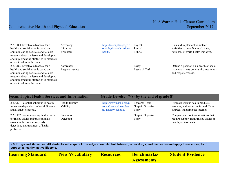| 2.2.8.D.1 Effective advocacy for a      | Advocacy       | http://lessonplanspage.c | Project       | Plan and implement volunteer            |
|-----------------------------------------|----------------|--------------------------|---------------|-----------------------------------------|
| health and social issue is based on     | Initiative     | om/physical-education-   | Journal       | activities to benefit a local, state,   |
| communicating accurate and reliable     | Volunteer      | health/                  | Rubric        | national, or world health initiative.   |
| research about the issue and developing |                |                          |               |                                         |
| and implementing strategies to motivate |                |                          |               |                                         |
| others to address the issue.            |                |                          |               |                                         |
| 2.2.8.D.2 Effective advocacy for a      | Awareness      |                          | Essay         | Defend a position on a health or social |
| health and social issue is based on     | Responsiveness |                          | Research Task | issue to activate community awareness   |
| communicating accurate and reliable     |                |                          |               | and responsiveness.                     |
| research about the issue and developing |                |                          |               |                                         |
| and implementing strategies to motivate |                |                          |               |                                         |
| others to address the issue.            |                |                          |               |                                         |

| <b>Focus Topic: Health Services and Information</b>                                                                                                                |                             |                                                                           | Grade Levels: 7-8 (by the end of grade 8)          |                                                                                                                 |
|--------------------------------------------------------------------------------------------------------------------------------------------------------------------|-----------------------------|---------------------------------------------------------------------------|----------------------------------------------------|-----------------------------------------------------------------------------------------------------------------|
| 2.2.8.E.1 Potential solutions to health<br>issues are dependent on health literacy<br>and available sources.                                                       | Health literacy<br>Validity | http://www.nasbe.org/p<br>roject/center-for-safe-a<br>nd-healthy-schools/ | <b>Research Task</b><br>Graphic Organizer<br>Essay | Evaluate various health products,<br>services, and resources from different<br>sources, including the internet. |
| 2.2.8.E.2 Communicating health needs<br>to trusted adults and professionals<br>assists in the prevention, early<br>detection, and treatment of health<br>problems. | Prevention<br>Detection     |                                                                           | Graphic Organizer<br>Essay                         | Compare and contrast situations that<br>require support from trusted adults or<br>health professionals.         |

| 2.3: Drugs and Medicines: All students will acquire knowledge about alcohol, tobacco, other drugs, and medicines and apply these concepts to<br>support a healthy, active lifestyle. |                       |                  |                                           |                         |
|--------------------------------------------------------------------------------------------------------------------------------------------------------------------------------------|-----------------------|------------------|-------------------------------------------|-------------------------|
| <b>Learning Standard</b>                                                                                                                                                             | <b>New Vocabulary</b> | <b>Resources</b> | <b>Benchmarks</b> /<br><b>Assessments</b> | <b>Student Evidence</b> |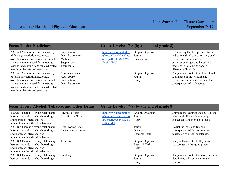| <b>Focus Topic: Medicines</b>            |                  |                          | Grade Levels: 7-8 (by the end of grade 8) |                                      |
|------------------------------------------|------------------|--------------------------|-------------------------------------------|--------------------------------------|
| 2.3.8.A.1 Medicines come in a variety    | Prescription     | http://www.pecentral.or  | Graphic Organizer                         | Explain why the therapeutic effects  |
| of forms (prescription medicines,        | Over-the-counter | g/lessonideas/ViewLess   | Journal                                   | and potential risks of commonly used |
| over-the-counter medicines, medicinal    | Medicinal        | on.asp?ID= $12466\#$ .Wk | Presentation                              | over-the-counter medicines,          |
| supplements), are used for numerous      | Supplements      | <b>Z0qfCnEdU</b>         |                                           | prescription drugs, and herbal and   |
| reasons, and should be taken as directed | Therapeutic      |                          |                                           | medicinal supplements vary in        |
| in order to be safe and effective.       |                  |                          |                                           | different individuals.               |
| 2.3.8.A.2 Medicines come in a variety    | Adolescent abuse |                          | Graphic Organizer                         | Compare and contrast adolescent and  |
| of forms (prescription medicines,        | Adult abuse      |                          | Journal                                   | adult abuse of prescription and      |
| over-the-counter medicines, medicinal    | Prescription     |                          | Essay                                     | over-the-counter medicines and the   |
| supplements), are used for numerous      | Over-the-counter |                          |                                           | consequences of such abuse.          |
| reasons, and should be taken as directed |                  |                          |                                           |                                      |
| in order to be safe and effective.       |                  |                          |                                           |                                      |

| <b>Focus Topic: Alcohol, Tobacco, and Other Drugs</b>                                                                                                    |                                            |                                                                          | Grade Levels: 7-8 (by the end of grade 8)   |                                                                                                              |
|----------------------------------------------------------------------------------------------------------------------------------------------------------|--------------------------------------------|--------------------------------------------------------------------------|---------------------------------------------|--------------------------------------------------------------------------------------------------------------|
| 2.3.8.B.1 There is a strong relationship<br>between individuals who abuse drugs<br>and increased intentional and<br>unintentional health-risk behaviors. | Physical effects<br>Behavioral effects     | http://www.pecentral.or<br>g/lessonideas/ViewLess<br>on.asp?ID=9614#.WkZ | Graphic Organizer<br>Journal<br>Essay       | Compare and contrast the physical and<br>behavioral effects of commonly<br>abused substances by adolescents. |
| 2.3.8.B.2 There is a strong relationship<br>between individuals who abuse drugs<br>and increased intentional and<br>unintentional health-risk behaviors. | Legal consequence<br>Financial consequence | 12fCnEdU                                                                 | Journal<br>Discussion<br>Research Task      | Predict the legal and financial<br>consequences of the use, sale, and<br>possession of illegal substances.   |
| 2.3.8.B.3 There is a strong relationship<br>between individuals who abuse drugs<br>and increased intentional and<br>unintentional health-risk behaviors. | Tobacco                                    |                                                                          | Graphic Organizer<br>Research Task<br>Essay | Analyze the effects of all types of<br>tobacco use on the aging process.                                     |
| 2.3.8.B.4 There is a strong relationship<br>between individuals who abuse drugs                                                                          | Smoking                                    |                                                                          | Graphic Organizer<br>Journal<br>Essay       | Compare and contrast smoking laws in<br>New Jersey with other states and<br>countries.                       |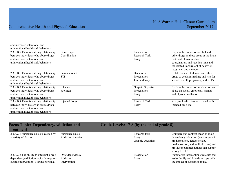| and increased intentional and            |                |                      |                                         |
|------------------------------------------|----------------|----------------------|-----------------------------------------|
| unintentional health-risk behaviors.     |                |                      |                                         |
| 2.3.8.B.5 There is a strong relationship | Brain impact   | Presentation         | Explain the impact of alcohol and       |
| between individuals who abuse drugs      | Coordination   | Research Task        | other drugs on those areas of the brain |
| and increased intentional and            |                | Essay                | that control vision, sleep,             |
| unintentional health-risk behaviors.     |                |                      | coordination, and reaction time and     |
|                                          |                |                      | the related impairment of behavior,     |
|                                          |                |                      | judgment, and memory.                   |
| 2.3.8.B.6 There is a strong relationship | Sexual assault | Discussion           | Relate the use of alcohol and other     |
| between individuals who abuse drugs      | <b>STI</b>     | Presentation         | drugs to decision-making and risk for   |
| and increased intentional and            |                | Journal/Essay        | sexual assault, pregnancy, and STI's.   |
| unintentional health-risk behaviors.     |                |                      |                                         |
| 2.3.8.B.7 There is a strong relationship | Inhalant       | Graphic Organizer    | Explain the impact of inhalant use and  |
| between individuals who abuse drugs      | Wellness       | Presentation         | abuse on social, emotional, mental,     |
| and increased intentional and            |                | Essay                | and physical wellness.                  |
| unintentional health-risk behaviors.     |                |                      |                                         |
| 2.3.8.B.8 There is a strong relationship | Injected drugs | <b>Research Task</b> | Analyze health risks associated with    |
| between individuals who abuse drugs      |                | Essay                | injected drug use.                      |
| and increased intentional and            |                |                      |                                         |
| unintentional health-risk behaviors.     |                |                      |                                         |

| <b>Focus Topic: Dependency/Addiction and</b>                                                                                    |                                              | Grade Levels: 7-8 (by the end of grade 8) |                                             |                                                                                                                                                                                                                        |
|---------------------------------------------------------------------------------------------------------------------------------|----------------------------------------------|-------------------------------------------|---------------------------------------------|------------------------------------------------------------------------------------------------------------------------------------------------------------------------------------------------------------------------|
| Treatment                                                                                                                       |                                              |                                           |                                             |                                                                                                                                                                                                                        |
| 2.3.8.C.1 Substance abuse is caused by<br>a variety of factors.                                                                 | Substance abuse<br><b>Addiction theories</b> |                                           | Research task<br>Essay<br>Graphic Organizer | Compare and contrast theories about<br>dependency/addiction (such as genetic<br>predisposition, gender-related<br>predisposition, and multiple risks) and<br>provide recommendations that support<br>a drug free life. |
| 2.3.8.C.2 The ability to interrupt a drug<br>dependency/addiction typically requires<br>outside intervention, a strong personal | Drug dependency<br>Addiction<br>Intervention |                                           | Presentation<br>Essay                       | Summarize intervention strategies that<br>assist family and friends to cope with<br>the impact of substance abuse.                                                                                                     |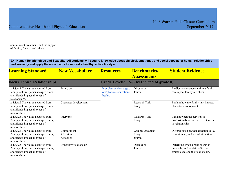| commitment.<br>suppor<br>treatment.<br>and the |  |  |
|------------------------------------------------|--|--|
| . and others<br>of family<br>triends.          |  |  |

| 2.4: Human Relationships and Sexuality: All students will acquire knowledge about physical, emotional, and social aspects of human relationships<br>and sexuality and apply these concepts to support a healthy, active lifestyle. |                                       |                                                               |                                           |                                                                                                            |
|------------------------------------------------------------------------------------------------------------------------------------------------------------------------------------------------------------------------------------|---------------------------------------|---------------------------------------------------------------|-------------------------------------------|------------------------------------------------------------------------------------------------------------|
| <b>Learning Standard</b>                                                                                                                                                                                                           | <b>New Vocabulary</b>                 | <b>Resources</b>                                              | Benchmarks/                               | <b>Student Evidence</b>                                                                                    |
|                                                                                                                                                                                                                                    |                                       |                                                               | <b>Assessments</b>                        |                                                                                                            |
| <b>Focus Topic: Relationships</b>                                                                                                                                                                                                  |                                       |                                                               | Grade Levels: 7-8 (by the end of grade 8) |                                                                                                            |
| 2.4.8.A.1 The values acquired from<br>family, culture, personal experiences,<br>and friends impact all types of<br>relationships.                                                                                                  | Famly unit                            | http://lessonplanspage.c<br>om/physical-education-<br>health/ | Discussion<br>Journal                     | Predict how changes within a family<br>can impact family members.                                          |
| 2.4.8.A.2 The values acquired from<br>family, culture, personal experiences,<br>and friends impact all types of<br>relationships.                                                                                                  | Character development                 |                                                               | <b>Research Task</b><br>Essay             | Explain how the family unit impacts<br>character development.                                              |
| 2.4.8.A.3 The values acquired from<br>family, culture, personal experiences,<br>and friends impact all types of<br>relationships.                                                                                                  | Intervene                             |                                                               | <b>Research Task</b><br>Essay             | Explain when the services of<br>professionals are needed to intervene<br>in relationships.                 |
| 2.4.8.A.4 The values acquired from<br>family, culture, personal experiences,<br>and friends impact all types of<br>relationships.                                                                                                  | Commitment<br>Affection<br>Attraction |                                                               | Graphic Organizer<br>Essay<br>Journal     | Differentiate between affection, love,<br>commitment, and sexual attraction.                               |
| 2.4.8.A.5 The values acquired from<br>family, culture, personal experiences,<br>and friends impact all types of<br>relationships.                                                                                                  | Unhealthy relationship                |                                                               | Discussion<br>Journal                     | Determine when a relationship is<br>unhealthy and explain effective<br>strategies to end the relationship. |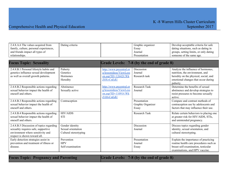# Comprehensive Health and Physical Education September 2017

| 2.4.8.A.6 The values acquired from<br>family, culture, personal experiences,<br>and friends impact all types of<br>relationships.                    | Dating criteria                                                |                                                                                                  | Graphic organizer<br>Essay<br>Journal<br>Presentation | Develop acceptable criteria for safe<br>dating situations, such as dating in<br>groups, setting limits, or only dating<br>someone of the same age.                |
|------------------------------------------------------------------------------------------------------------------------------------------------------|----------------------------------------------------------------|--------------------------------------------------------------------------------------------------|-------------------------------------------------------|-------------------------------------------------------------------------------------------------------------------------------------------------------------------|
| <b>Focus Topic: Sexuality</b>                                                                                                                        |                                                                |                                                                                                  | Grade Levels: 7-8 (by the end of grade 8)             |                                                                                                                                                                   |
| 2.4.8.B.1 Personal lifestyle habits and<br>genetics influence sexual development<br>as well as overall growth patterns.                              | Puberty<br>Genetics<br><b>Hormones</b><br>Heredity             | http://www.pecentral.or<br>g/lessonideas/ViewLess<br>on.asp?ID= $12642#$ .Wk<br><b>Z0XvCnEdU</b> | Discussion<br>Journal<br>Research task                | Analyze the influence of hormones,<br>nutrition, the environment, and<br>heredity on the physical, social, and<br>emotional changes that occur during<br>puberty. |
| 2.4.8.B.2 Responsible actions regarding<br>sexual behavior impact the health of<br>oneself and others.                                               | Abstinence<br>Sexually active                                  | http://www.pecentral.or<br>g/lessonideas/ViewLess<br>on.asp?ID= $11091\#$ .Wk<br>Z1HvCnEdU       | <b>Research Task</b><br>Journal                       | Determine the benefits of sexual<br>abstinence and develop strategies to<br>resist pressures to become sexually<br>active.                                        |
| 2.4.8.B.3 Responsible actions regarding<br>sexual behavior impact the health of<br>oneself and others.                                               | Contraception                                                  |                                                                                                  | Presentation<br>Graphic Organizer<br>Essay            | Compare and contrast methods of<br>contraception use by adolescents and<br>factors that may influence their use.                                                  |
| 2.4.8.B.4 Responsible actions regarding<br>sexual behavior impact the health of<br>oneself and others.                                               | <b>HIV/AIDS</b><br><b>STI</b>                                  |                                                                                                  | <b>Research Task</b>                                  | Relate certain behaviors to placing one<br>at greater risk for HIV/AIDS, STIs,<br>and unintended pregnancy.                                                       |
| 2.4.8.B.5 Discussion of topics regarding<br>sexuality requires safe, supportive<br>environment where sensitivity and<br>respect is shown toward all. | Gender identity<br>Sexual orientation<br>Cultural stereotyping |                                                                                                  | Discussion<br>Journal                                 | Discuss topics regarding gender<br>identity, sexual orientation, and<br>cultural stereotyping.                                                                    |
| Early detection strategies assist in<br>prevention and treatment of illness or<br>disease.                                                           | Prevention<br><b>HPV</b><br>Self-examination                   |                                                                                                  | Presentation<br>Journal<br>Essay                      | Explain the importance of practicing<br>routine health care procedures such as<br>breast self-examination, testicular<br>examinations, and HPV vaccine.           |

**Focus Topic: Pregnancy and Parenting Grade Levels: 7-8 (by the end of grade 8)**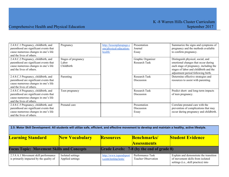| 2.4.8.C.1 Pregnancy, childbirth, and<br>parenthood are significant events that<br>cause numerous changes in one's life<br>and the lives of others. | Pregnancy                                  | http://lessonplanspage.c<br>om/physical-education-<br>health/ | Presentation<br>Journal<br>Essay          | Summarize the signs and symptoms of<br>pregnancy and the methods available<br>to confirm pregnancy.                                                                                                |
|----------------------------------------------------------------------------------------------------------------------------------------------------|--------------------------------------------|---------------------------------------------------------------|-------------------------------------------|----------------------------------------------------------------------------------------------------------------------------------------------------------------------------------------------------|
| 2.4.8.C.2 Pregnancy, childbirth, and<br>parenthood are significant events that<br>cause numerous changes in one's life<br>and the lives of others. | Stages of pregnancy<br>Labor<br>Childbirth |                                                               | Graphic Organizer<br><b>Research Task</b> | Distinguish physical, social, and<br>emotional changes that occur during<br>each stage of pregnancy, including the<br>stages of labor and childbirth and the<br>adjustment period following birth. |
| 2.4.8.C.3 Pregnancy, childbirth, and<br>parenthood are significant events that<br>cause numerous changes in one's life<br>and the lives of others. | Parenting                                  |                                                               | Research Task<br>Discussion               | Determine effective strategies and<br>resources to assist with parenting.                                                                                                                          |
| 2.4.8.C.4 Pregnancy, childbirth, and<br>parenthood are significant events that<br>cause numerous changes in one's life<br>and the lives of others. | Teen pregnancy                             |                                                               | <b>Research Task</b><br>Discussion        | Predict short- and long-term impacts<br>of teen pregnancy.                                                                                                                                         |
| 2.4.8.C.5 Pregnancy, childbirth, and<br>parenthood are significant events that<br>cause numerous changes in one's life<br>and the lives of others. | Prenatal care                              |                                                               | Presentation<br>Discussion<br>Essay       | Correlate prenatal care with the<br>prevention of complications that may<br>occur during pregnancy and childbirth.                                                                                 |

| 2.5: Motor Skill Development: All students will utilize safe, efficient, and effective movement to develop and maintain a healthy, active lifestyle. |                       |                        |                                           |                                                                          |
|------------------------------------------------------------------------------------------------------------------------------------------------------|-----------------------|------------------------|-------------------------------------------|--------------------------------------------------------------------------|
| <b>Learning Standard</b>                                                                                                                             | <b>New Vocabulary</b> | <b>Resources</b>       | <b>Benchmarks</b> /                       | <b>Student Evidence</b>                                                  |
|                                                                                                                                                      |                       |                        | <b>Assessments</b>                        |                                                                          |
| <b>Focus Topic: Movement Skills and Concepts</b>                                                                                                     |                       |                        | Grade Levels: 7-8 (by the end of grade 8) |                                                                          |
| 2.5.8.A.1 Movement skill performance                                                                                                                 | Isolated settings     | http://www.topendsport | Performance Task                          | Explain and demonstrate the transition                                   |
| is primarily impacted by the quality of                                                                                                              | Applied settings      | s.com/testing/tests/   | <b>Teacher Observation</b>                | of movement skills from isolated<br>settings (i.e., skill practice) into |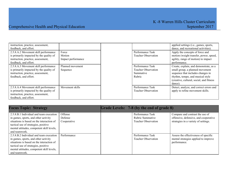| instruction, practice, assessment,      |                    |                            | applied settings (i.e., games, sports,   |
|-----------------------------------------|--------------------|----------------------------|------------------------------------------|
| feedback, and effort.                   |                    |                            | dance, and recreational activities).     |
| 2.5.8.A.2 Movement skill performance    | Force              | Performance Task           | Apply the concepts of force and          |
| is primarily impacted by the quality of | Motion             | <b>Teacher Observation</b> | motion (weight transfer, power, speed,   |
| instruction, practice, assessment,      | Impact performance |                            | agility, range of motion) to impact      |
| feedback, and effort.                   |                    |                            | performance.                             |
| 2.5.8.A.3 Movement skill performance    | Planned movement   | Performance Task           | Create, explain, and demonstrate, as a   |
| is primarily impacted by the quality of | Sequence           | Teacher Observation        | small group, a planned movement          |
| instruction, practice, assessment,      |                    | Summative                  | sequence that includes changes in        |
| feedback, and effort.                   |                    | Rubric                     | rhythm, tempo, and musical style         |
|                                         |                    |                            | (creative, cultural, social, and fitness |
|                                         |                    |                            | dance).                                  |
| 2.5.8.A.4 Movement skill performance    | Movement skills    | Performance Task           | Detect, analyze, and correct errors and  |
| is primarily impacted by the quality of |                    | Teacher Observation        | apply to refine movement skills.         |
| instruction, practice, assessment,      |                    |                            |                                          |
| feedback, and effort.                   |                    |                            |                                          |

| <b>Focus Topic: Strategy</b>                                                                                                                                                                                                       |                                   | Grade Levels: 7-8 (by the end of grade 8)                          |                                                                                                                  |
|------------------------------------------------------------------------------------------------------------------------------------------------------------------------------------------------------------------------------------|-----------------------------------|--------------------------------------------------------------------|------------------------------------------------------------------------------------------------------------------|
| 2.5.8.B.1 Individual and team execution<br>in games, sports, and other activity<br>situations is based on the interaction of<br>tactical use of strategies, positive<br>mental attitudes, competent skill levels,<br>and teamwork. | Offense<br>Defense<br>Cooperative | Performance Task<br>Rubric Summative<br><b>Teacher Observation</b> | Compare and contrast the use of<br>offensive, defensive, and cooperative<br>strategies in a variety of settings. |
| 2.5.8.B.2 Individual and team execution<br>in games, sports, and other activity<br>situations is based on the interaction of<br>tactical use of strategies, positive<br>mental attitudes, competent skill levels,<br>and teamwork. | Performance                       | Performance Task<br><b>Teacher Observation</b>                     | Assess the effectiveness of specific<br>mental strategies applied to improve<br>performance.                     |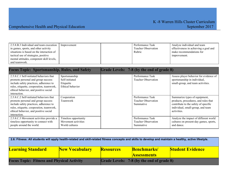| 2.5.8.B.3 Individual and team execution   | Improvement | Performance Task           | Analyze individual and team           |
|-------------------------------------------|-------------|----------------------------|---------------------------------------|
| in games, sports, and other activity      |             | <b>Teacher Observation</b> | effectiveness in achieving a goal and |
| situations is based on the interaction of |             | Rubric                     | make recommendations for              |
| tactical use of strategies, positive      |             |                            | improvement.                          |
| mental attitudes, competent skill levels, |             |                            |                                       |
| and teamwork.                             |             |                            |                                       |

| <b>Focus Topic: Sportsmanship, Rules, and Safety</b>                                                                                                                                                                         |                                                                  | Grade Levels: 7-8 (by the end of grade 8)                   |                                                                                                                                                                   |
|------------------------------------------------------------------------------------------------------------------------------------------------------------------------------------------------------------------------------|------------------------------------------------------------------|-------------------------------------------------------------|-------------------------------------------------------------------------------------------------------------------------------------------------------------------|
| 2.5.8.C.1 Self-initiated behaviors that<br>promote personal and group success<br>include safety practices, adherence to<br>rules, etiquette, cooperation, teamwork,<br>ethical behavior, and positive social<br>interaction. | Sportsmanship<br>Self-initiated<br>Etiquette<br>Ethical behavior | Performance Task<br><b>Teacher Observation</b>              | Assess player behavior for evidence of<br>sportsmanship in individual,<br>small-group, and team activities.                                                       |
| 2.5.8.C.2 Self-initiated behaviors that<br>promote personal and group success<br>include safety practices, adherence to<br>rules, etiquette, cooperation, teamwork,<br>ethical behavior, and positive social<br>interaction. | Cooperation<br>Teamwork                                          | Performance Task<br>Teacher Observation<br>Summative        | Summarize types of equipment,<br>products, procedures, and rules that<br>contribute to the safety of specific<br>individual, small-group, and team<br>activities. |
| 2.5.8.C.3 Movement activities provide a<br>timeless opportunity to connect with<br>people around the world.                                                                                                                  | Timeless opportunity<br>Movement activities<br>World cultures    | Performance Task<br><b>Teacher Observation</b><br>Summative | Analyze the impact of different world<br>cultures on present-day games, sports,<br>and dance.                                                                     |

| 2.6: Fitness: All students will apply health-related and skill-related fitness concepts and skills to develop and maintain a healthy, active lifestyle. |                       |                  |                                                  |                         |
|---------------------------------------------------------------------------------------------------------------------------------------------------------|-----------------------|------------------|--------------------------------------------------|-------------------------|
| <b>Learning Standard</b>                                                                                                                                | <b>New Vocabulary</b> | <b>Resources</b> | <b>Benchmarks</b> /<br><b>Assessments</b>        | <b>Student Evidence</b> |
| <b>Focus Topic: Fitness and Physical Activity</b>                                                                                                       |                       |                  | <b>Grade Levels: 7-8 (by the end of grade 8)</b> |                         |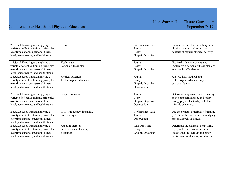| 2.6.8.A.1 Knowing and applying a<br>variety of effective training principles<br>over time enhances personal fitness<br>level, performance, and health status. | <b>Benefits</b>                                          | Performance Task<br>Journal<br>Essay<br>Graphic Organizer | Summarize the short- and long-term<br>physical, social, and emotional<br>benefits of regular physical activity.                                          |
|---------------------------------------------------------------------------------------------------------------------------------------------------------------|----------------------------------------------------------|-----------------------------------------------------------|----------------------------------------------------------------------------------------------------------------------------------------------------------|
| 2.6.8.A.2 Knowing and applying a<br>variety of effective training principles<br>over time enhances personal fitness<br>level, performance, and health status. | Health data<br>Personal fitness plan                     | Journal<br>Essay<br>Graphic Organizer                     | Use health data to develop and<br>implement a personal fitness plan and<br>evaluate its effectiveness.                                                   |
| 2.6.8.A.3 Knowing and applying a<br>variety of effective training principles<br>over time enhances personal fitness<br>level, performance, and health status. | Medical advances<br>Technological advances               | Journal<br>Essay<br>Graphic Organizer<br>Observation      | Analyze how medical and<br>technological advances impact<br>personal fitness.                                                                            |
| 2.6.8.A.4 Knowing and applying a<br>variety of effective training principles<br>over time enhances personal fitness<br>level, performance, and health status. | Body composition                                         | Journal<br>Essay<br>Graphic Organizer<br>Observation      | Determine ways to achieve a healthy<br>body composition through healthy<br>eating, physical activity, and other<br>lifestyle behaviors.                  |
| 2.6.8.A.5 Knowing and applying a<br>variety of effective training principles<br>over time enhances personal fitness<br>level, performance, and health status. | FITT- Frequency, intensity,<br>time, and type            | Performance Task<br>Journal<br>Observation                | Use the primary principles of training<br>(FITT) for the purposes of modifying<br>personal levels of fitness.                                            |
| 2.6.8.A.6 Knowing and applying a<br>variety of effective training principles<br>over time enhances personal fitness<br>level, performance, and health status. | Anabolic steroids<br>Performance-enhancing<br>substances | Research Task<br>Essay<br>Graphic Organizer               | Determine the physical, behavioral,<br>legal, and ethical consequences of the<br>use of anabolic steroids and other<br>performance-enhancing substances. |